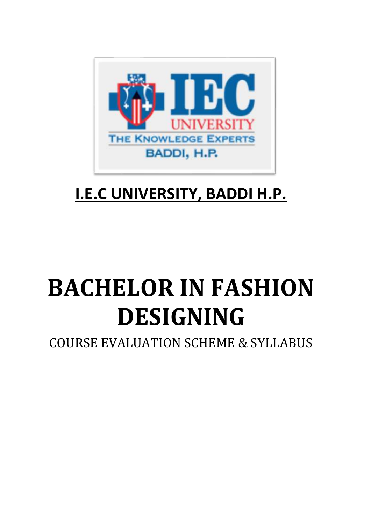

# **I.E.C UNIVERSITY, BADDI H.P.**

# **BACHELOR IN FASHION DESIGNING**

COURSE EVALUATION SCHEME & SYLLABUS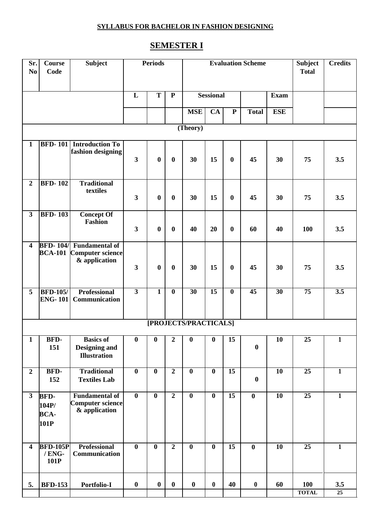# **SEMESTER I**

| Sr.<br>N <sub>0</sub>   | <b>Course</b><br>Code                       | <b>Subject</b>                                                             |                         | <b>Periods</b>   |                  |                       | <b>Evaluation Scheme</b> | <b>Subject</b><br><b>Total</b> | <b>Credits</b>   |                           |                 |                  |
|-------------------------|---------------------------------------------|----------------------------------------------------------------------------|-------------------------|------------------|------------------|-----------------------|--------------------------|--------------------------------|------------------|---------------------------|-----------------|------------------|
|                         |                                             |                                                                            | L                       | T                | ${\bf P}$        |                       | <b>Sessional</b>         |                                |                  |                           |                 |                  |
|                         |                                             |                                                                            |                         |                  |                  | <b>MSE</b>            | CA                       | ${\bf P}$                      | <b>Total</b>     | <b>Exam</b><br><b>ESE</b> |                 |                  |
|                         |                                             |                                                                            |                         |                  |                  |                       |                          |                                |                  |                           |                 |                  |
|                         |                                             |                                                                            |                         |                  |                  | (Theory)              |                          |                                |                  |                           |                 |                  |
| $\mathbf{1}$            |                                             | <b>BFD-101</b> Introduction To<br>fashion designing                        | $\overline{\mathbf{3}}$ | $\boldsymbol{0}$ | $\boldsymbol{0}$ | 30                    | 15                       | $\boldsymbol{0}$               | 45               | 30                        | 75              | 3.5              |
| $\boldsymbol{2}$        | <b>BFD-102</b>                              | <b>Traditional</b><br>textiles                                             | $\mathbf{3}$            | $\boldsymbol{0}$ | $\bf{0}$         | 30                    | 15                       | $\bf{0}$                       | 45               | 30                        | 75              | 3.5              |
| $\mathbf{3}$            | <b>BFD-103</b>                              | <b>Concept Of</b><br>Fashion                                               | $\mathbf{3}$            | $\boldsymbol{0}$ | $\boldsymbol{0}$ | 40                    | 20                       | $\boldsymbol{0}$               | 60               | 40                        | 100             | 3.5              |
| $\overline{\mathbf{4}}$ | <b>BCA-101</b>                              | <b>BFD-104/ Fundamental of</b><br><b>Computer science</b><br>& application | $\overline{\mathbf{3}}$ | $\boldsymbol{0}$ | $\bf{0}$         | 30                    | 15                       | $\bf{0}$                       | 45               | 30                        | 75              | 3.5              |
| 5                       | <b>BFD-105/</b><br><b>ENG-101</b>           | <b>Professional</b><br>Communication                                       | $\overline{\mathbf{3}}$ | $\overline{1}$   | $\bf{0}$         | $\overline{30}$       | $\overline{15}$          | $\boldsymbol{0}$               | $\overline{45}$  | $\overline{30}$           | $\overline{75}$ | $\overline{3.5}$ |
|                         |                                             |                                                                            |                         |                  |                  | [PROJECTS/PRACTICALS] |                          |                                |                  |                           |                 |                  |
| $\mathbf{1}$            | BFD-<br>151                                 | <b>Basics of</b><br><b>Designing and</b><br><b>Illustration</b>            | $\bf{0}$                | $\bf{0}$         | $\mathbf{2}$     | $\bf{0}$              | $\bf{0}$                 | 15                             | $\boldsymbol{0}$ | <b>10</b>                 | 25              | 1                |
| $\overline{2}$          | BFD-<br>152                                 | <b>Traditional</b><br><b>Textiles Lab</b>                                  | $\bf{0}$                | $\bf{0}$         | $\overline{2}$   | $\bf{0}$              | $\bf{0}$                 | $\overline{15}$                | $\boldsymbol{0}$ | $\overline{10}$           | $\overline{25}$ | $\mathbf{1}$     |
| $\mathbf{3}$            | <b>BFD-</b><br>104P/<br><b>BCA-</b><br>101P | <b>Fundamental of</b><br><b>Computer science</b><br>& application          | $\bf{0}$                | $\bf{0}$         | $\overline{2}$   | $\bf{0}$              | $\bf{0}$                 | $\overline{15}$                | $\bf{0}$         | $\overline{10}$           | $\overline{25}$ | $\overline{1}$   |
| $\overline{\mathbf{4}}$ | <b>BFD-105P</b><br>/ENG-<br>101P            | <b>Professional</b><br>Communication                                       | $\overline{\mathbf{0}}$ | $\bf{0}$         | $\overline{2}$   | $\bf{0}$              | $\bf{0}$                 | $\overline{15}$                | $\bf{0}$         | 10                        | 25              | $\overline{1}$   |
| 5.                      | <b>BFD-153</b>                              | Portfolio-I                                                                | $\boldsymbol{0}$        | $\bf{0}$         | $\boldsymbol{0}$ | $\bf{0}$              | $\boldsymbol{0}$         | 40                             | $\boldsymbol{0}$ | 60                        | 100             | 3.5              |
|                         |                                             |                                                                            |                         |                  |                  |                       |                          |                                |                  |                           | <b>TOTAL</b>    | 25               |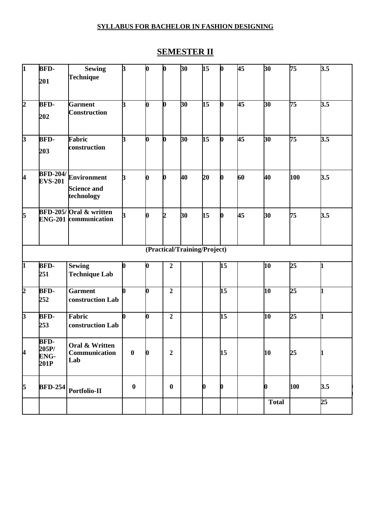# **SEMESTER II**

| $\mathbf{I}$   | <b>BFD-</b>                                 | <b>Sewing</b>                                          | $\mathbf{B}$     | <b>b</b>         | $\boldsymbol{0}$ | 30                           | $\overline{15}$ | $\mathbf{b}$              | $\overline{45}$ | 30              | 75               | 3.5              |
|----------------|---------------------------------------------|--------------------------------------------------------|------------------|------------------|------------------|------------------------------|-----------------|---------------------------|-----------------|-----------------|------------------|------------------|
|                | 201                                         | Technique                                              |                  |                  |                  |                              |                 |                           |                 |                 |                  |                  |
| $\overline{2}$ | <b>BFD-</b>                                 | <b>Garment</b>                                         | k                | b                | O                | 30                           | 15              | b                         | $\overline{45}$ | 30 <sup>°</sup> | 75               | 3.5              |
|                | 202                                         | Construction                                           |                  |                  |                  |                              |                 |                           |                 |                 |                  |                  |
| $\overline{3}$ | <b>BFD-</b><br>203                          | Fabric<br>construction                                 | k                | b                | 0                | $\overline{30}$              | 15              | $\boldsymbol{\mathsf{b}}$ | $\overline{45}$ | 30              | 75               | 3.5              |
| 4              | <b>BFD-204/</b><br><b>EVS-201</b>           | <b>Environment</b><br><b>Science and</b><br>technology | ß                |                  |                  | 40                           | 20              | $\boldsymbol{\mathsf{D}}$ | 60              | 40              | 100              | 3.5              |
| $\overline{5}$ |                                             | BFD-205/Oral & written<br><b>ENG-201</b> communication |                  |                  | Ŋ.               | 30                           | 15              | $\boldsymbol{0}$          | 45              | 30              | 75               | 3.5              |
|                |                                             |                                                        |                  |                  |                  | (Practical/Training/Project) |                 |                           |                 |                 |                  |                  |
| 1              | <b>BFD-</b><br>251                          | <b>Sewing</b><br><b>Technique Lab</b>                  | $\bm{0}$         | N                | $\overline{2}$   |                              |                 | 15                        |                 | 10              | 25               |                  |
| $\overline{2}$ | <b>BFD-</b><br>252                          | <b>Garment</b><br>construction Lab                     | n                | b                | $\overline{2}$   |                              |                 | 15                        |                 | 10              | $25\overline{)}$ | h.               |
| $\overline{3}$ | <b>BFD-</b><br>253                          | Fabric<br>construction Lab                             | 0                | $\boldsymbol{0}$ | $\boldsymbol{2}$ |                              |                 | 15                        |                 | 10              | $25\overline{)}$ | h.               |
| 4              | <b>BFD-</b><br>205P/<br><b>ENG-</b><br>201P | Oral & Written<br>Communication<br>Lab                 | $\bf{0}$         |                  | $\overline{2}$   |                              |                 | 15                        |                 | 10              | 25               |                  |
| 5              | <b>BFD-254</b>                              | Portfolio-II                                           | $\boldsymbol{0}$ |                  | $\boldsymbol{0}$ |                              | 0               | $\boldsymbol{0}$          |                 |                 | 100              | 3.5              |
|                |                                             |                                                        |                  |                  |                  |                              |                 |                           |                 | <b>Total</b>    |                  | $25\overline{ }$ |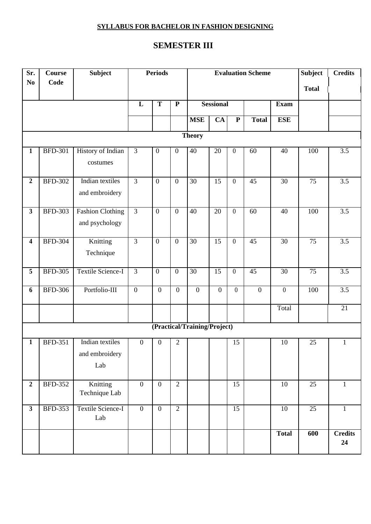# **SEMESTER III**

| Sr.                     | <b>Course</b>  | <b>Subject</b>                  |                  | Periods                 |                         |                              |                  | <b>Evaluation Scheme</b> | <b>Subject</b>   | <b>Credits</b>  |                 |                      |
|-------------------------|----------------|---------------------------------|------------------|-------------------------|-------------------------|------------------------------|------------------|--------------------------|------------------|-----------------|-----------------|----------------------|
| N <sub>0</sub>          | Code           |                                 |                  |                         |                         |                              |                  |                          | <b>Total</b>     |                 |                 |                      |
|                         |                |                                 | L                | $\overline{\mathbf{T}}$ | $\overline{\mathbf{P}}$ |                              | <b>Sessional</b> |                          | <b>Exam</b>      |                 |                 |                      |
|                         |                |                                 |                  |                         |                         |                              |                  |                          |                  |                 |                 |                      |
|                         |                |                                 |                  |                         |                         | <b>MSE</b>                   | $\overline{CA}$  | ${\bf P}$                | <b>Total</b>     | <b>ESE</b>      |                 |                      |
|                         |                |                                 |                  |                         |                         | <b>Theory</b>                |                  |                          |                  |                 |                 |                      |
| $\mathbf{1}$            | <b>BFD-301</b> | History of Indian               | $\overline{3}$   | $\boldsymbol{0}$        | $\boldsymbol{0}$        | 40                           | 20               | $\boldsymbol{0}$         | 60               | 40              | 100             | $\overline{3.5}$     |
|                         |                | costumes                        |                  |                         |                         |                              |                  |                          |                  |                 |                 |                      |
| $\overline{2}$          | <b>BFD-302</b> | Indian textiles                 | $\overline{3}$   | $\mathbf{0}$            | $\boldsymbol{0}$        | 30                           | $\overline{15}$  | $\mathbf{0}$             | $\overline{45}$  | 30              | $\overline{75}$ | $\overline{3.5}$     |
|                         |                | and embroidery                  |                  |                         |                         |                              |                  |                          |                  |                 |                 |                      |
| $\mathbf{3}$            | <b>BFD-303</b> | <b>Fashion Clothing</b>         | $\overline{3}$   | $\mathbf{0}$            | $\boldsymbol{0}$        | 40                           | 20               | $\boldsymbol{0}$         | 60               | 40              | 100             | $\overline{3.5}$     |
|                         |                | and psychology                  |                  |                         |                         |                              |                  |                          |                  |                 |                 |                      |
| $\overline{\mathbf{4}}$ | <b>BFD-304</b> | Knitting                        | $\overline{3}$   | $\overline{0}$          | $\mathbf{0}$            | 30                           | $\overline{15}$  | $\boldsymbol{0}$         | $\overline{45}$  | $\overline{30}$ | $\overline{75}$ | $\overline{3.5}$     |
|                         |                | Technique                       |                  |                         |                         |                              |                  |                          |                  |                 |                 |                      |
| $\overline{5}$          | <b>BFD-305</b> | <b>Textile Science-I</b>        | $\overline{3}$   | $\boldsymbol{0}$        | $\boldsymbol{0}$        | 30                           | 15               | $\boldsymbol{0}$         | $\overline{45}$  | 30              | 75              | 3.5                  |
| 6                       | <b>BFD-306</b> | Portfolio-III                   | $\mathbf{0}$     | $\boldsymbol{0}$        | $\overline{0}$          | $\mathbf{0}$                 | $\mathbf{0}$     | $\boldsymbol{0}$         | $\boldsymbol{0}$ | $\overline{0}$  | 100             | $\overline{3.5}$     |
|                         |                |                                 |                  |                         |                         |                              |                  |                          |                  | Total           |                 | $\overline{21}$      |
|                         |                |                                 |                  |                         |                         | (Practical/Training/Project) |                  |                          |                  |                 |                 |                      |
| $\mathbf{1}$            | <b>BFD-351</b> | Indian textiles                 | $\boldsymbol{0}$ | $\boldsymbol{0}$        | $\sqrt{2}$              |                              |                  | 15                       |                  | 10              | 25              | $\mathbf{1}$         |
|                         |                | and embroidery                  |                  |                         |                         |                              |                  |                          |                  |                 |                 |                      |
|                         |                | Lab                             |                  |                         |                         |                              |                  |                          |                  |                 |                 |                      |
| $\overline{2}$          | <b>BFD-352</b> | Knitting                        | $\mathbf{0}$     | $\mathbf{0}$            | $\overline{2}$          |                              |                  | 15                       |                  | $10\,$          | 25              | $\mathbf{1}$         |
|                         |                | Technique Lab                   |                  |                         |                         |                              |                  |                          |                  |                 |                 |                      |
| $\mathbf{3}$            | <b>BFD-353</b> | <b>Textile Science-I</b><br>Lab | $\overline{0}$   | $\boldsymbol{0}$        | $\overline{2}$          |                              |                  | 15                       |                  | $\overline{10}$ | 25              | $\mathbf{1}$         |
|                         |                |                                 |                  |                         |                         |                              |                  |                          |                  | <b>Total</b>    | 600             | <b>Credits</b><br>24 |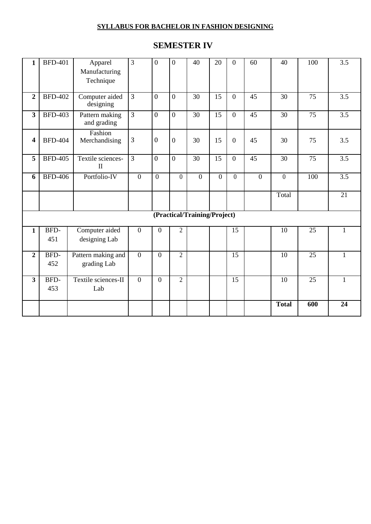# **SEMESTER IV**

| $\mathbf{1}$            | <b>BFD-401</b> | Apparel                           | 3              | $\overline{0}$   | $\mathbf{0}$   | 40                           | 20             | $\overline{0}$   | 60              | 40              | 100             | 3.5              |
|-------------------------|----------------|-----------------------------------|----------------|------------------|----------------|------------------------------|----------------|------------------|-----------------|-----------------|-----------------|------------------|
|                         |                | Manufacturing<br>Technique        |                |                  |                |                              |                |                  |                 |                 |                 |                  |
| $\overline{2}$          | <b>BFD-402</b> | Computer aided<br>designing       | $\overline{3}$ | $\overline{0}$   | $\overline{0}$ | 30                           | 15             | $\theta$         | $\overline{45}$ | 30              | 75              | $\overline{3.5}$ |
| 3                       | <b>BFD-403</b> | Pattern making<br>and grading     | $\overline{3}$ | $\mathbf{0}$     | $\overline{0}$ | 30                           | 15             | $\overline{0}$   | 45              | 30              | 75              | 3.5              |
| $\overline{\mathbf{4}}$ | <b>BFD-404</b> | Fashion<br>Merchandising          | 3              | $\boldsymbol{0}$ | $\overline{0}$ | 30                           | 15             | $\boldsymbol{0}$ | 45              | 30              | 75              | 3.5              |
| 5                       | <b>BFD-405</b> | Textile sciences-<br>$\mathbf{I}$ | $\overline{3}$ | $\mathbf{0}$     | $\overline{0}$ | 30                           | 15             | $\overline{0}$   | 45              | 30              | 75              | 3.5              |
| 6                       | <b>BFD-406</b> | Portfolio-IV                      | $\overline{0}$ | $\overline{0}$   | $\overline{0}$ | $\overline{0}$               | $\overline{0}$ | $\overline{0}$   | $\overline{0}$  | $\overline{0}$  | 100             | 3.5              |
|                         |                |                                   |                |                  |                |                              |                |                  |                 | Total           |                 | $\overline{21}$  |
|                         |                |                                   |                |                  |                | (Practical/Training/Project) |                |                  |                 |                 |                 |                  |
| $\mathbf{1}$            | BFD-<br>451    | Computer aided<br>designing Lab   | $\overline{0}$ | $\boldsymbol{0}$ | $\overline{2}$ |                              |                | 15               |                 | 10              | 25              | $\mathbf{1}$     |
| $\overline{2}$          | BFD-<br>452    | Pattern making and<br>grading Lab | $\overline{0}$ | $\overline{0}$   | $\overline{2}$ |                              |                | $\overline{15}$  |                 | $\overline{10}$ | $\overline{25}$ | 1                |
| $\overline{\mathbf{3}}$ | BFD-<br>453    | Textile sciences-II<br>Lab        | $\overline{0}$ | $\mathbf{0}$     | $\overline{2}$ |                              |                | 15               |                 | 10              | 25              | $\mathbf{1}$     |
|                         |                |                                   |                |                  |                |                              |                |                  |                 | <b>Total</b>    | 600             | $\overline{24}$  |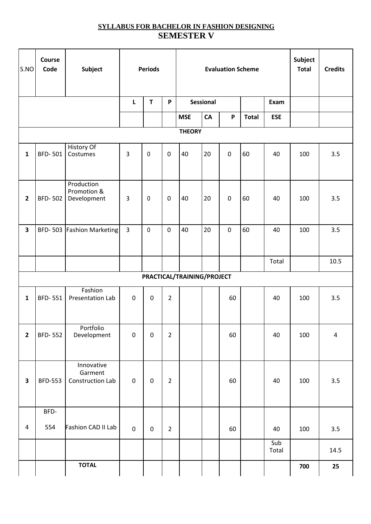# **SYLLABUS FOR BACHELOR IN FASHION DESIGNING SEMESTER V**

| S.NO                    | Course<br>Code | Subject                                   |                | <b>Periods</b> |                |                            |           | <b>Evaluation Scheme</b> |              | Subject<br><b>Total</b> | <b>Credits</b> |           |
|-------------------------|----------------|-------------------------------------------|----------------|----------------|----------------|----------------------------|-----------|--------------------------|--------------|-------------------------|----------------|-----------|
|                         |                |                                           | L              | T              | P              |                            | Sessional |                          |              |                         |                |           |
|                         |                |                                           |                |                |                | <b>MSE</b>                 | CA        | P                        | <b>Total</b> | <b>ESE</b>              |                |           |
|                         |                |                                           |                |                |                | <b>THEORY</b>              |           |                          |              |                         |                |           |
| $\mathbf{1}$            | <b>BFD-501</b> | History Of<br>Costumes                    | 3              | $\pmb{0}$      | $\pmb{0}$      | 40                         | 20        | $\pmb{0}$                | 60           | 40                      | 100            | 3.5       |
| 2                       | <b>BFD-502</b> | Production<br>Promotion &<br>Development  | $\overline{3}$ | 0              | $\pmb{0}$      | 40                         | 20        | $\pmb{0}$                | 60           | 40                      | 100            | 3.5       |
| $\overline{\mathbf{3}}$ |                | BFD-503 Fashion Marketing                 | 3              | $\mathbf 0$    | $\pmb{0}$      | 40                         | 20        | $\pmb{0}$                | 60           | 40                      | 100            | 3.5       |
|                         |                |                                           |                |                |                |                            |           |                          |              | Total                   |                | 10.5      |
|                         |                |                                           |                |                |                | PRACTICAL/TRAINING/PROJECT |           |                          |              |                         |                |           |
| $\mathbf{1}$            | <b>BFD-551</b> | Fashion<br>Presentation Lab               | $\mathbf 0$    | $\pmb{0}$      | $\overline{2}$ |                            |           | 60                       |              | 40                      | 100            | 3.5       |
| $\mathbf{2}$            | <b>BFD-552</b> | Portfolio<br>Development                  | $\pmb{0}$      | $\mathsf 0$    | $\overline{2}$ |                            |           | 60                       |              | 40                      | 100            | $\pmb{4}$ |
| 3                       | <b>BFD-553</b> | Innovative<br>Garment<br>Construction Lab | $\mathsf 0$    | $\mathbf 0$    | $\overline{2}$ |                            |           | 60                       |              | 40                      | 100            | 3.5       |
| $\overline{\mathbf{4}}$ | BFD-<br>554    | Fashion CAD II Lab                        | $\pmb{0}$      | $\mathbf 0$    | $\overline{2}$ |                            |           | 60                       |              | 40                      | 100            | 3.5       |
|                         |                |                                           |                |                |                |                            |           |                          |              | Sub<br>Total            |                | 14.5      |
|                         |                | <b>TOTAL</b>                              |                |                |                |                            |           |                          |              |                         | 700            | 25        |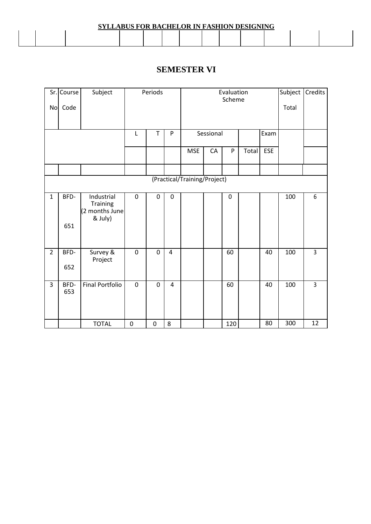| <b>SYLLABUS FOR BACHELOR IN FASHION DESIGNING</b> |  |  |  |  |  |  |  |  |  |  |  |  |  |
|---------------------------------------------------|--|--|--|--|--|--|--|--|--|--|--|--|--|
|                                                   |  |  |  |  |  |  |  |  |  |  |  |  |  |

# **SEMESTER VI**

| No             | Sr. Course<br>Code | Subject                                             |                  | Periods     |                |                              | Evaluation | Subject<br>Total | Credits |            |     |                |
|----------------|--------------------|-----------------------------------------------------|------------------|-------------|----------------|------------------------------|------------|------------------|---------|------------|-----|----------------|
|                |                    |                                                     | L                | т           | $\mathsf{P}$   |                              | Sessional  |                  |         | Exam       |     |                |
|                |                    |                                                     |                  |             |                | <b>MSE</b>                   | CA         | ${\sf P}$        | Total   | <b>ESE</b> |     |                |
|                |                    |                                                     |                  |             |                |                              |            |                  |         |            |     |                |
|                |                    |                                                     |                  |             |                | (Practical/Training/Project) |            |                  |         |            |     |                |
| $\mathbf{1}$   | BFD-<br>651        | Industrial<br>Training<br>(2 months June<br>& July) | $\boldsymbol{0}$ | 0           | $\pmb{0}$      |                              |            | 0                |         |            | 100 | 6              |
| $\overline{2}$ | BFD-<br>652        | Survey &<br>Project                                 | $\mathbf 0$      | $\mathsf 0$ | $\overline{4}$ |                              |            | 60               |         | 40         | 100 | $\overline{3}$ |
| 3              | BFD-<br>653        | <b>Final Portfolio</b>                              | $\mathbf 0$      | 0           | 4              |                              |            | 60               |         | 40         | 100 | 3              |
|                |                    | <b>TOTAL</b>                                        | $\pmb{0}$        | $\pmb{0}$   | 8              |                              |            | 120              |         | 80         | 300 | 12             |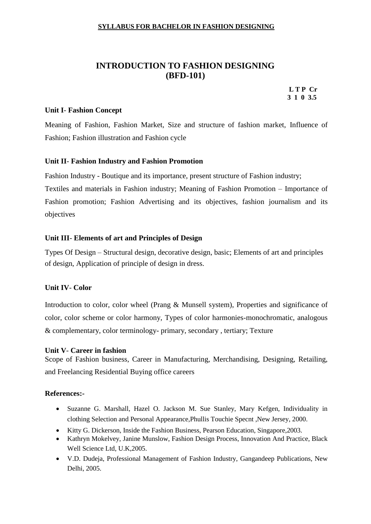# **INTRODUCTION TO FASHION DESIGNING (BFD-101)**

**L T P Cr 3 1 0 3.5**

#### **Unit I**- **Fashion Concept**

Meaning of Fashion, Fashion Market, Size and structure of fashion market, Influence of Fashion; Fashion illustration and Fashion cycle

#### **Unit II**- **Fashion Industry and Fashion Promotion**

Fashion Industry - Boutique and its importance, present structure of Fashion industry; Textiles and materials in Fashion industry; Meaning of Fashion Promotion – Importance of Fashion promotion; Fashion Advertising and its objectives, fashion journalism and its objectives

#### **Unit III**- **Elements of art and Principles of Design**

Types Of Design – Structural design, decorative design, basic; Elements of art and principles of design, Application of principle of design in dress.

#### **Unit IV**- **Color**

Introduction to color, color wheel (Prang & Munsell system), Properties and significance of color, color scheme or color harmony, Types of color harmonies-monochromatic, analogous & complementary, color terminology- primary, secondary , tertiary; Texture

#### **Unit V**- **Career in fashion**

Scope of Fashion business, Career in Manufacturing, Merchandising, Designing, Retailing, and Freelancing Residential Buying office careers

- Suzanne G. Marshall, Hazel O. Jackson M. Sue Stanley, Mary Kefgen, Individuality in clothing Selection and Personal Appearance,Phullis Touchie Specnt ,New Jersey, 2000.
- Kitty G. Dickerson, Inside the Fashion Business, Pearson Education, Singapore,2003.
- Kathryn Mokelvey, Janine Munslow, Fashion Design Process, Innovation And Practice, Black Well Science Ltd, U.K,2005.
- V.D. Dudeja, Professional Management of Fashion Industry, Gangandeep Publications, New Delhi, 2005.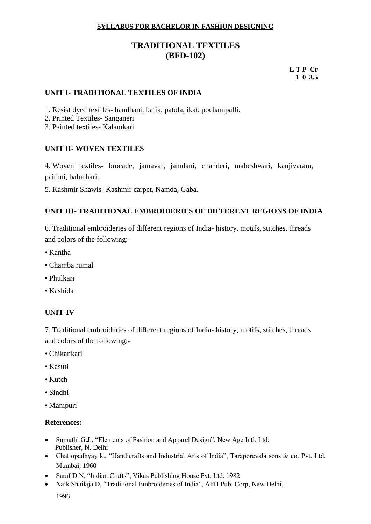# **TRADITIONAL TEXTILES (BFD-102)**

**L T P Cr 1 0 3.5**

#### **UNIT I- TRADITIONAL TEXTILES OF INDIA**

- 1. Resist dyed textiles- bandhani, batik, patola, ikat, pochampalli.
- 2. Printed Textiles- Sanganeri
- 3. Painted textiles- Kalamkari

#### **UNIT II- WOVEN TEXTILES**

4. Woven textiles- brocade, jamavar, jamdani, chanderi, maheshwari, kanjivaram, paithni, baluchari.

5. Kashmir Shawls- Kashmir carpet, Namda, Gaba.

#### **UNIT III- TRADITIONAL EMBROIDERIES OF DIFFERENT REGIONS OF INDIA**

6. Traditional embroideries of different regions of India- history, motifs, stitches, threads and colors of the following:-

- Kantha
- Chamba rumal
- Phulkari
- Kashida

#### **UNIT-IV**

7. Traditional embroideries of different regions of India- history, motifs, stitches, threads and colors of the following:-

- Chikankari
- Kasuti
- Kutch
- Sindhi
- Manipuri

- Sumathi G.J., "Elements of Fashion and Apparel Design", New Age Intl. Ltd. Publisher, N. Delhi
- Chattopadhyay k., "Handicrafts and Industrial Arts of India", Taraporevala sons & co. Pvt. Ltd. Mumbai, 1960
- Saraf D.N, "Indian Crafts", Vikas Publishing House Pvt. Ltd. 1982
- Naik Shailaja D, "Traditional Embroideries of India", APH Pub. Corp, New Delhi,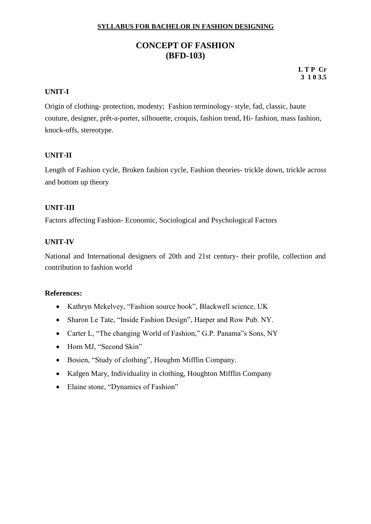# **CONCEPT OF FASHION (BFD-103)**

**L T P Cr 3 1 0 3.5**

#### **UNIT-I**

Origin of clothing- protection, modesty; Fashion terminology- style, fad, classic, haute couture, designer, prêt-a-porter, silhouette, croquis, fashion trend, Hi- fashion, mass fashion, knock-offs, stereotype.

#### **UNIT-II**

Length of Fashion cycle, Broken fashion cycle, Fashion theories- trickle down, trickle across and bottom up theory

#### **UNIT-III**

Factors affecting Fashion- Economic, Sociological and Psychological Factors

#### **UNIT-IV**

National and International designers of 20th and 21st century- their profile, collection and contribution to fashion world

- Kathryn Mekelvey, "Fashion source book", Blackwell science, UK
- Sharon Le Tate, "Inside Fashion Design", Harper and Row Pub. NY.
- Carter L, "The changing World of Fashion," G.P. Panama"s Sons, NY
- Horn MJ, "Second Skin"
- Bosien, "Study of clothing", Houghm Mifflin Company.
- Kafgen Mary, Individuality in clothing, Houghton Mifflin Company
- Elaine stone, "Dynamics of Fashion"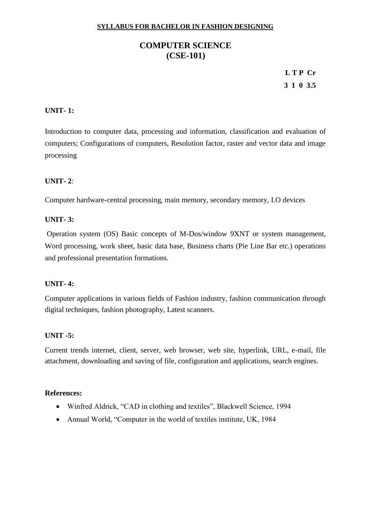# **COMPUTER SCIENCE (CSE-101)**

# **L T P Cr 3 1 0 3.5**

# **UNIT- 1:**

Introduction to computer data, processing and information, classification and evaluation of computers; Configurations of computers, Resolution factor, raster and vector data and image processing

#### **UNIT- 2**:

Computer hardware-central processing, main memory, secondary memory, I.O devices

#### **UNIT- 3:**

Operation system (OS) Basic concepts of M-Dos/window 9XNT or system management, Word processing, work sheet, basic data base, Business charts (Pie Line Bar etc.) operations and professional presentation formations.

#### **UNIT- 4:**

Computer applications in various fields of Fashion industry, fashion communication through digital techniques, fashion photography, Latest scanners.

#### **UNIT -5:**

Current trends internet, client, server, web browser, web site, hyperlink, URL, e-mail, file attachment, downloading and saving of file, configuration and applications, search engines.

- Winfred Aldrick, "CAD in clothing and textiles", Blackwell Science, 1994
- Annual World, "Computer in the world of textiles institute, UK, 1984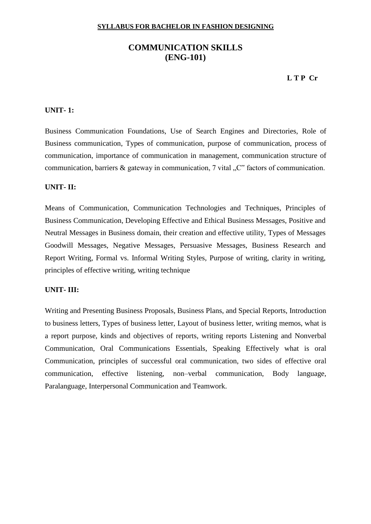# **COMMUNICATION SKILLS (ENG-101)**

#### **L T P Cr**

#### **UNIT- 1:**

Business Communication Foundations, Use of Search Engines and Directories, Role of Business communication, Types of communication, purpose of communication, process of communication, importance of communication in management, communication structure of communication, barriers  $\&$  gateway in communication, 7 vital  $C^*$  factors of communication.

#### **UNIT- II:**

Means of Communication, Communication Technologies and Techniques, Principles of Business Communication, Developing Effective and Ethical Business Messages, Positive and Neutral Messages in Business domain, their creation and effective utility, Types of Messages Goodwill Messages, Negative Messages, Persuasive Messages, Business Research and Report Writing, Formal vs. Informal Writing Styles, Purpose of writing, clarity in writing, principles of effective writing, writing technique

#### **UNIT- III:**

Writing and Presenting Business Proposals, Business Plans, and Special Reports, Introduction to business letters, Types of business letter, Layout of business letter, writing memos, what is a report purpose, kinds and objectives of reports, writing reports Listening and Nonverbal Communication, Oral Communications Essentials, Speaking Effectively what is oral Communication, principles of successful oral communication, two sides of effective oral communication, effective listening, non–verbal communication, Body language, Paralanguage, Interpersonal Communication and Teamwork.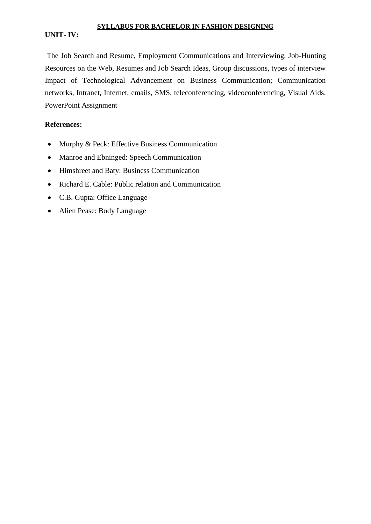#### **UNIT- IV:**

The Job Search and Resume, Employment Communications and Interviewing, Job-Hunting Resources on the Web, Resumes and Job Search Ideas, Group discussions, types of interview Impact of Technological Advancement on Business Communication; Communication networks, Intranet, Internet, emails, SMS, teleconferencing, videoconferencing, Visual Aids. PowerPoint Assignment

- Murphy & Peck: Effective Business Communication
- Manroe and Ebninged: Speech Communication
- Himshreet and Baty: Business Communication
- Richard E. Cable: Public relation and Communication
- C.B. Gupta: Office Language
- Alien Pease: Body Language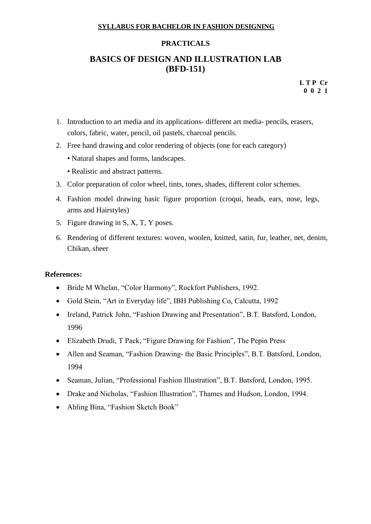#### **PRACTICALS**

# **BASICS OF DESIGN AND ILLUSTRATION LAB (BFD-151)**

**L T P Cr 0 0 2 1**

- 1. Introduction to art media and its applications- different art media- pencils, erasers, colors, fabric, water, pencil, oil pastels, charcoal pencils.
- 2. Free hand drawing and color rendering of objects (one for each category)
	- Natural shapes and forms, landscapes.
	- Realistic and abstract patterns.
- 3. Color preparation of color wheel, tints, tones, shades, different color schemes.
- 4. Fashion model drawing basic figure proportion (croqui, heads, ears, nose, legs, arms and Hairstyles)
- 5. Figure drawing in S, X, T, Y poses.
- 6. Rendering of different textures: woven, woolen, knitted, satin, fur, leather, net, denim, Chikan, sheer

- Bride M Whelan, "Color Harmony", Rockfort Publishers, 1992.
- Gold Stein, "Art in Everyday life", IBH Publishing Co, Calcutta, 1992
- Ireland, Patrick John, "Fashion Drawing and Presentation", B.T. Batsford, London, 1996
- Elizabeth Drudi, T Pack, "Figure Drawing for Fashion", The Pepin Press
- Allen and Seaman, "Fashion Drawing- the Basic Principles", B.T. Batsford, London, 1994
- Seaman, Julian, "Professional Fashion Illustration", B.T. Batsford, London, 1995.
- Drake and Nicholas, "Fashion Illustration", Thames and Hudson, London, 1994.
- Abling Bina, "Fashion Sketch Book"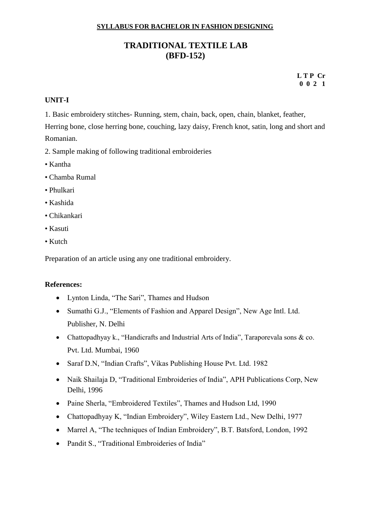# **TRADITIONAL TEXTILE LAB (BFD-152)**

**L T P Cr 0 0 2 1**

#### **UNIT-I**

1. Basic embroidery stitches- Running, stem, chain, back, open, chain, blanket, feather,

Herring bone, close herring bone, couching, lazy daisy, French knot, satin, long and short and Romanian.

2. Sample making of following traditional embroideries

- Kantha
- Chamba Rumal
- Phulkari
- Kashida
- Chikankari
- Kasuti
- Kutch

Preparation of an article using any one traditional embroidery.

- Lynton Linda, "The Sari", Thames and Hudson
- Sumathi G.J., "Elements of Fashion and Apparel Design", New Age Intl. Ltd. Publisher, N. Delhi
- Chattopadhyay k., "Handicrafts and Industrial Arts of India", Taraporevala sons & co. Pvt. Ltd. Mumbai, 1960
- Saraf D.N, "Indian Crafts", Vikas Publishing House Pvt. Ltd. 1982
- Naik Shailaja D, "Traditional Embroideries of India", APH Publications Corp, New Delhi, 1996
- Paine Sherla, "Embroidered Textiles", Thames and Hudson Ltd, 1990
- Chattopadhyay K, "Indian Embroidery", Wiley Eastern Ltd., New Delhi, 1977
- Marrel A, "The techniques of Indian Embroidery", B.T. Batsford, London, 1992
- Pandit S., "Traditional Embroideries of India"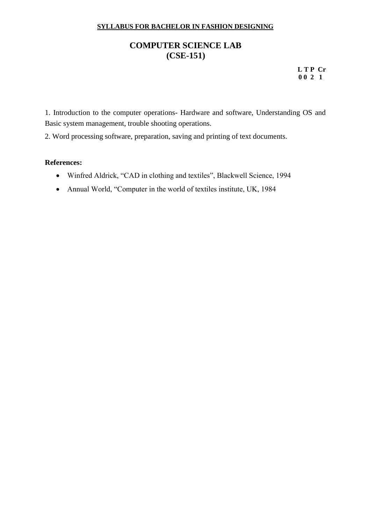# **COMPUTER SCIENCE LAB (CSE-151)**

**L T P Cr 0 0 2 1**

1. Introduction to the computer operations- Hardware and software, Understanding OS and Basic system management, trouble shooting operations.

2. Word processing software, preparation, saving and printing of text documents.

- Winfred Aldrick, "CAD in clothing and textiles", Blackwell Science, 1994
- Annual World, "Computer in the world of textiles institute, UK, 1984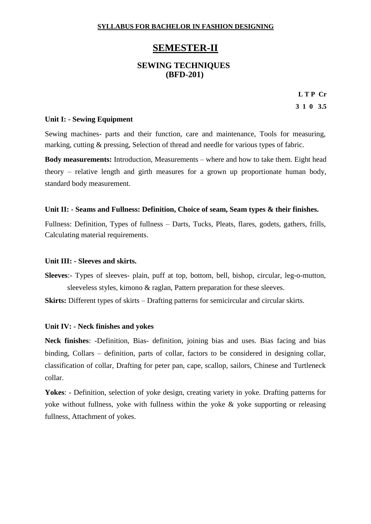# **SEMESTER-II**

### **SEWING TECHNIQUES (BFD-201)**

**L T P Cr 3 1 0 3.5**

#### **Unit I: - Sewing Equipment**

Sewing machines- parts and their function, care and maintenance, Tools for measuring, marking, cutting & pressing, Selection of thread and needle for various types of fabric.

**Body measurements:** Introduction, Measurements – where and how to take them. Eight head theory – relative length and girth measures for a grown up proportionate human body, standard body measurement.

#### **Unit II: - Seams and Fullness: Definition, Choice of seam, Seam types & their finishes.**

Fullness: Definition, Types of fullness – Darts, Tucks, Pleats, flares, godets, gathers, frills, Calculating material requirements.

#### **Unit III: - Sleeves and skirts.**

**Sleeves**:- Types of sleeves- plain, puff at top, bottom, bell, bishop, circular, leg-o-mutton, sleeveless styles, kimono & raglan, Pattern preparation for these sleeves.

**Skirts:** Different types of skirts – Drafting patterns for semicircular and circular skirts.

#### **Unit IV: - Neck finishes and yokes**

**Neck finishes**: -Definition, Bias- definition, joining bias and uses. Bias facing and bias binding, Collars – definition, parts of collar, factors to be considered in designing collar, classification of collar, Drafting for peter pan, cape, scallop, sailors, Chinese and Turtleneck collar.

**Yokes**: - Definition, selection of yoke design, creating variety in yoke. Drafting patterns for yoke without fullness, yoke with fullness within the yoke  $\&$  yoke supporting or releasing fullness, Attachment of yokes.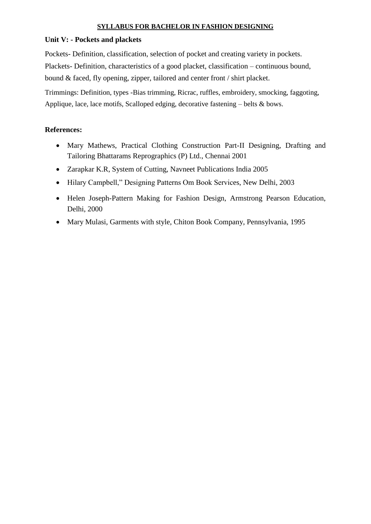#### **Unit V: - Pockets and plackets**

Pockets- Definition, classification, selection of pocket and creating variety in pockets. Plackets- Definition, characteristics of a good placket, classification – continuous bound, bound & faced, fly opening, zipper, tailored and center front / shirt placket.

Trimmings: Definition, types -Bias trimming, Ricrac, ruffles, embroidery, smocking, faggoting, Applique, lace, lace motifs, Scalloped edging, decorative fastening – belts & bows.

- Mary Mathews, Practical Clothing Construction Part-II Designing, Drafting and Tailoring Bhattarams Reprographics (P) Ltd., Chennai 2001
- Zarapkar K.R, System of Cutting, Navneet Publications India 2005
- Hilary Campbell," Designing Patterns Om Book Services, New Delhi, 2003
- Helen Joseph-Pattern Making for Fashion Design, Armstrong Pearson Education, Delhi, 2000
- Mary Mulasi, Garments with style, Chiton Book Company, Pennsylvania, 1995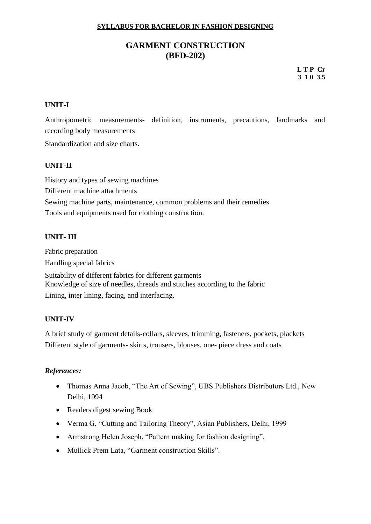# **GARMENT CONSTRUCTION (BFD-202)**

**L T P Cr 3 1 0 3.5**

### **UNIT-I**

Anthropometric measurements- definition, instruments, precautions, landmarks and recording body measurements Standardization and size charts.

#### **UNIT-II**

History and types of sewing machines Different machine attachments Sewing machine parts, maintenance, common problems and their remedies Tools and equipments used for clothing construction.

#### **UNIT- III**

Fabric preparation Handling special fabrics

Suitability of different fabrics for different garments Knowledge of size of needles, threads and stitches according to the fabric Lining, inter lining, facing, and interfacing.

#### **UNIT-IV**

A brief study of garment details-collars, sleeves, trimming, fasteners, pockets, plackets Different style of garments- skirts, trousers, blouses, one- piece dress and coats

- Thomas Anna Jacob, "The Art of Sewing", UBS Publishers Distributors Ltd., New Delhi, 1994
- Readers digest sewing Book
- Verma G, "Cutting and Tailoring Theory", Asian Publishers, Delhi, 1999
- Armstrong Helen Joseph, "Pattern making for fashion designing".
- Mullick Prem Lata, "Garment construction Skills".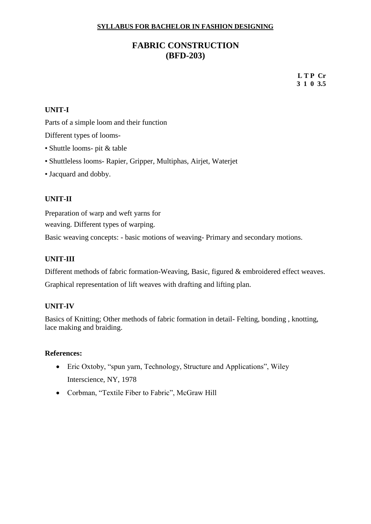# **FABRIC CONSTRUCTION (BFD-203)**

**L T P Cr 3 1 0 3.5**

### **UNIT-I**

Parts of a simple loom and their function

Different types of looms-

- Shuttle looms- pit & table
- Shuttleless looms- Rapier, Gripper, Multiphas, Airjet, Waterjet
- Jacquard and dobby.

#### **UNIT-II**

Preparation of warp and weft yarns for weaving. Different types of warping.

Basic weaving concepts: - basic motions of weaving- Primary and secondary motions.

#### **UNIT-III**

Different methods of fabric formation-Weaving, Basic, figured & embroidered effect weaves.

Graphical representation of lift weaves with drafting and lifting plan.

#### **UNIT-IV**

Basics of Knitting; Other methods of fabric formation in detail- Felting, bonding , knotting, lace making and braiding.

- Eric Oxtoby, "spun yarn, Technology, Structure and Applications", Wiley Interscience, NY, 1978
- Corbman, "Textile Fiber to Fabric", McGraw Hill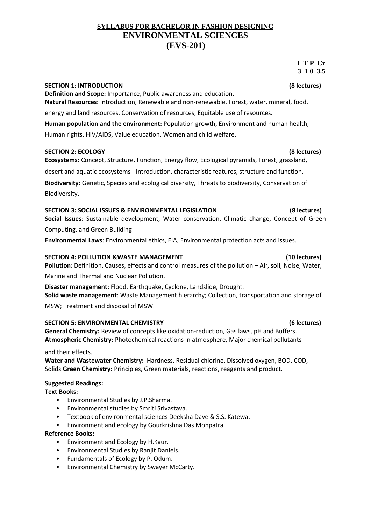# **SYLLABUS FOR BACHELOR IN FASHION DESIGNING ENVIRONMENTAL SCIENCES (EVS-201)**

#### **L T P Cr 3 1 0 3.5**

#### **SECTION 1: INTRODUCTION (8 lectures)**

**Definition and Scope:** Importance, Public awareness and education. **Natural Resources:** Introduction, Renewable and non-renewable, Forest, water, mineral, food,

energy and land resources, Conservation of resources, Equitable use of resources.

**Human population and the environment:** Population growth, Environment and human health, Human rights, HIV/AIDS, Value education, Women and child welfare.

# **SECTION 2: ECOLOGY (8 lectures)**

**Ecosystems:** Concept, Structure, Function, Energy flow, Ecological pyramids, Forest, grassland,

desert and aquatic ecosystems - Introduction, characteristic features, structure and function.

**Biodiversity:** Genetic, Species and ecological diversity, Threats to biodiversity, Conservation of Biodiversity.

# **SECTION 3: SOCIAL ISSUES & ENVIRONMENTAL LEGISLATION (8 lectures)**

**Social Issues**: Sustainable development, Water conservation, Climatic change, Concept of Green

Computing, and Green Building

**Environmental Laws**: Environmental ethics, EIA, Environmental protection acts and issues.

### **SECTION 4: POLLUTION &WASTE MANAGEMENT (10 lectures)**

**Pollution**: Definition, Causes, effects and control measures of the pollution – Air, soil, Noise, Water, Marine and Thermal and Nuclear Pollution.

**Disaster management:** Flood, Earthquake, Cyclone, Landslide, Drought. **Solid waste management**: Waste Management hierarchy; Collection, transportation and storage of

MSW; Treatment and disposal of MSW.

# **SECTION 5: ENVIRONMENTAL CHEMISTRY (6 lectures)**

**General Chemistry:** Review of concepts like oxidation-reduction, Gas laws, pH and Buffers. **Atmospheric Chemistry:** Photochemical reactions in atmosphere, Major chemical pollutants

and their effects.

**Water and Wastewater Chemistry:** Hardness, Residual chlorine, Dissolved oxygen, BOD, COD, Solids.**Green Chemistry:** Principles, Green materials, reactions, reagents and product.

# **Suggested Readings:**

**Text Books:**

- Environmental Studies by J.P.Sharma.
- Environmental studies by Smriti Srivastava.
- Textbook of environmental sciences Deeksha Dave & S.S. Katewa.
- Environment and ecology by Gourkrishna Das Mohpatra.

# **Reference Books:**

- Environment and Ecology by H.Kaur.
- Environmental Studies by Ranjit Daniels.
- Fundamentals of Ecology by P. Odum.
- Environmental Chemistry by Swayer McCarty.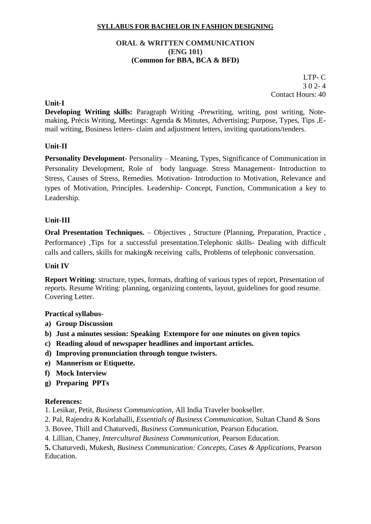#### **ORAL & WRITTEN COMMUNICATION (ENG 101) (Common for BBA, BCA & BFD)**

 LTP- C  $302 - 4$ Contact Hours: 40

#### **Unit-I**

**Developing Writing skills:** Paragraph Writing -Prewriting, writing, post writing, Notemaking, Précis Writing, Meetings: Agenda & Minutes, Advertising; Purpose, Types, Tips ,Email writing, Business letters- claim and adjustment letters, inviting quotations/tenders.

#### **Unit-II**

**Personality Development**- Personality – Meaning, Types, Significance of Communication in Personality Development, Role of body language. Stress Management- Introduction to Stress, Causes of Stress, Remedies. Motivation- Introduction to Motivation, Relevance and types of Motivation, Principles. Leadership- Concept, Function, Communication a key to Leadership.

#### **Unit-III**

**Oral Presentation Techniques.** – Objectives , Structure (Planning, Preparation, Practice , Performance) ,Tips for a successful presentation.Telephonic skills- Dealing with difficult calls and callers, skills for making& receiving calls, Problems of telephonic conversation.

#### **Unit IV**

**Report Writing**: structure, types, formats, drafting of various types of report, Presentation of reports. Resume Writing: planning, organizing contents, layout, guidelines for good resume. Covering Letter.

#### **Practical syllabus-**

- **a) Group Discussion**
- **b) Just a minutes session: Speaking Extempore for one minutes on given topics**
- **c) Reading aloud of newspaper headlines and important articles.**
- **d) Improving pronunciation through tongue twisters.**
- **e) Mannerism or Etiquette.**
- **f) Mock Interview**
- **g) Preparing PPTs**

#### **References:**

- 1. Lesikar, Petit, *Business Communication,* All India Traveler bookseller.
- 2. Pal, Rajendra & Korlahalli, *Essentials of Business Communication,* Sultan Chand & Sons
- 3. Bovee, Thill and Chaturvedi, *Business Communication,* Pearson Education.
- 4. Lillian, Chaney, *Intercultural Business Communication,* Pearson Education.

**5.** Chaturvedi, Mukesh, *Business Communication: Concepts, Cases & Applications,* Pearson Education.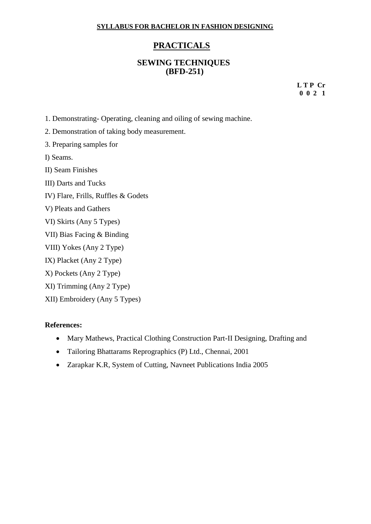# **PRACTICALS**

#### **SEWING TECHNIQUES (BFD-251)**

**L T P Cr 0 0 2 1**

- 1. Demonstrating- Operating, cleaning and oiling of sewing machine.
- 2. Demonstration of taking body measurement.
- 3. Preparing samples for
- I) Seams.
- II) Seam Finishes
- III) Darts and Tucks
- IV) Flare, Frills, Ruffles & Godets
- V) Pleats and Gathers
- VI) Skirts (Any 5 Types)
- VII) Bias Facing & Binding
- VIII) Yokes (Any 2 Type)
- IX) Placket (Any 2 Type)
- X) Pockets (Any 2 Type)
- XI) Trimming (Any 2 Type)
- XII) Embroidery (Any 5 Types)

- Mary Mathews, Practical Clothing Construction Part-II Designing, Drafting and
- Tailoring Bhattarams Reprographics (P) Ltd., Chennai, 2001
- Zarapkar K.R, System of Cutting, Navneet Publications India 2005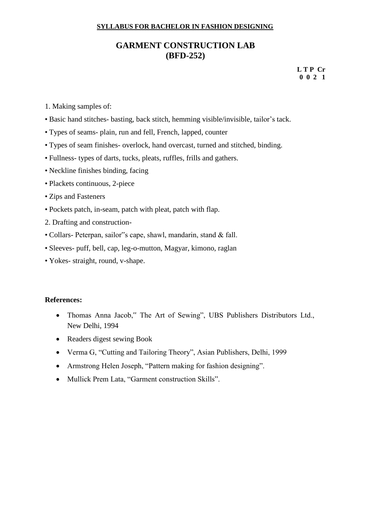# **GARMENT CONSTRUCTION LAB (BFD-252)**

**L T P Cr 0 0 2 1**

- 1. Making samples of:
- Basic hand stitches- basting, back stitch, hemming visible/invisible, tailor's tack.
- Types of seams- plain, run and fell, French, lapped, counter
- Types of seam finishes- overlock, hand overcast, turned and stitched, binding.
- Fullness- types of darts, tucks, pleats, ruffles, frills and gathers.
- Neckline finishes binding, facing
- Plackets continuous, 2-piece
- Zips and Fasteners
- Pockets patch, in-seam, patch with pleat, patch with flap.
- 2. Drafting and construction-
- Collars- Peterpan, sailor"s cape, shawl, mandarin, stand & fall.
- Sleeves- puff, bell, cap, leg-o-mutton, Magyar, kimono, raglan
- Yokes- straight, round, v-shape.

- Thomas Anna Jacob," The Art of Sewing", UBS Publishers Distributors Ltd., New Delhi, 1994
- Readers digest sewing Book
- Verma G, "Cutting and Tailoring Theory", Asian Publishers, Delhi, 1999
- Armstrong Helen Joseph, "Pattern making for fashion designing".
- Mullick Prem Lata, "Garment construction Skills".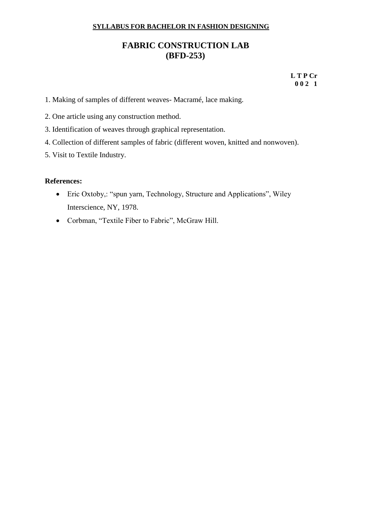# **FABRIC CONSTRUCTION LAB (BFD-253)**

 **L T P Cr 0 0 2 1**

- 1. Making of samples of different weaves- Macramé, lace making.
- 2. One article using any construction method.
- 3. Identification of weaves through graphical representation.
- 4. Collection of different samples of fabric (different woven, knitted and nonwoven).
- 5. Visit to Textile Industry.

- Eric Oxtoby,: "spun yarn, Technology, Structure and Applications", Wiley Interscience, NY, 1978.
- Corbman, "Textile Fiber to Fabric", McGraw Hill.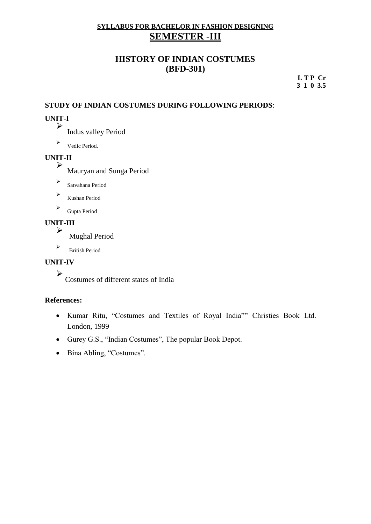# **SYLLABUS FOR BACHELOR IN FASHION DESIGNING SEMESTER -III**

# **HISTORY OF INDIAN COSTUMES (BFD-301)**

**L T P Cr 3 1 0 3.5**

# **STUDY OF INDIAN COSTUMES DURING FOLLOWING PERIODS**:

# **UNIT-I**

➢ Indus valley Period

➢ Vedic Period.

# **UNIT-II**

➢ Mauryan and Sunga Period

- ➢ Satvahana Period
- ➢ Kushan Period
- ➢ Gupta Period

#### **UNIT-III** ➢

Mughal Period

➢ British Period

#### **UNIT-IV**

➢ Costumes of different states of India

- Kumar Ritu, "Costumes and Textiles of Royal India"" Christies Book Ltd. London, 1999
- Gurey G.S., "Indian Costumes", The popular Book Depot.
- Bina Abling, "Costumes".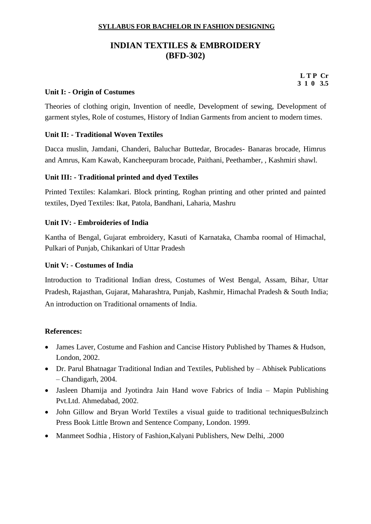# **INDIAN TEXTILES & EMBROIDERY (BFD-302)**

**L T P Cr 3 1 0 3.5**

#### **Unit I: - Origin of Costumes**

Theories of clothing origin, Invention of needle, Development of sewing, Development of garment styles, Role of costumes, History of Indian Garments from ancient to modern times.

#### **Unit II: - Traditional Woven Textiles**

Dacca muslin, Jamdani, Chanderi, Baluchar Buttedar, Brocades- Banaras brocade, Himrus and Amrus, Kam Kawab, Kancheepuram brocade, Paithani, Peethamber, , Kashmiri shawl.

#### **Unit III: - Traditional printed and dyed Textiles**

Printed Textiles: Kalamkari. Block printing, Roghan printing and other printed and painted textiles, Dyed Textiles: Ikat, Patola, Bandhani, Laharia, Mashru

#### **Unit IV: - Embroideries of India**

Kantha of Bengal, Gujarat embroidery, Kasuti of Karnataka, Chamba roomal of Himachal, Pulkari of Punjab, Chikankari of Uttar Pradesh

#### **Unit V: - Costumes of India**

Introduction to Traditional Indian dress, Costumes of West Bengal, Assam, Bihar, Uttar Pradesh, Rajasthan, Gujarat, Maharashtra, Punjab, Kashmir, Himachal Pradesh & South India; An introduction on Traditional ornaments of India.

- James Laver, Costume and Fashion and Cancise History Published by Thames & Hudson, London, 2002.
- Dr. Parul Bhatnagar Traditional Indian and Textiles, Published by Abhisek Publications – Chandigarh, 2004.
- Jasleen Dhamija and Jyotindra Jain Hand wove Fabrics of India Mapin Publishing Pvt.Ltd. Ahmedabad, 2002.
- John Gillow and Brvan World Textiles a visual guide to traditional techniquesBulzinch Press Book Little Brown and Sentence Company, London. 1999.
- Manmeet Sodhia, History of Fashion, Kalyani Publishers, New Delhi, .2000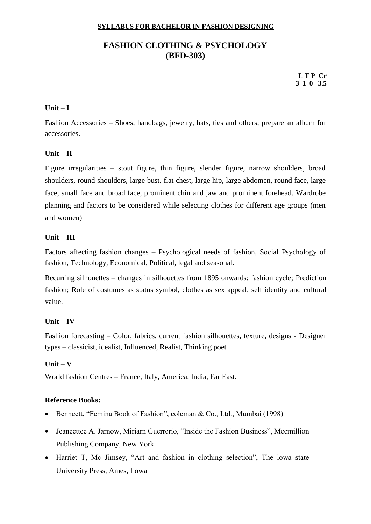# **FASHION CLOTHING & PSYCHOLOGY (BFD-303)**

**L T P Cr 3 1 0 3.5**

#### **Unit – I**

Fashion Accessories – Shoes, handbags, jewelry, hats, ties and others; prepare an album for accessories.

#### **Unit – II**

Figure irregularities – stout figure, thin figure, slender figure, narrow shoulders, broad shoulders, round shoulders, large bust, flat chest, large hip, large abdomen, round face, large face, small face and broad face, prominent chin and jaw and prominent forehead. Wardrobe planning and factors to be considered while selecting clothes for different age groups (men and women)

#### **Unit – III**

Factors affecting fashion changes – Psychological needs of fashion, Social Psychology of fashion, Technology, Economical, Political, legal and seasonal.

Recurring silhouettes – changes in silhouettes from 1895 onwards; fashion cycle; Prediction fashion; Role of costumes as status symbol, clothes as sex appeal, self identity and cultural value.

#### **Unit – IV**

Fashion forecasting – Color, fabrics, current fashion silhouettes, texture, designs - Designer types – classicist, idealist, Influenced, Realist, Thinking poet

#### **Unit – V**

World fashion Centres – France, Italy, America, India, Far East.

#### **Reference Books:**

- Benneett, "Femina Book of Fashion", coleman & Co., Ltd., Mumbai (1998)
- Jeaneettee A. Jarnow, Miriarn Guerrerio, "Inside the Fashion Business", Mecmillion Publishing Company, New York
- Harriet T, Mc Jimsey, "Art and fashion in clothing selection", The lowa state University Press, Ames, Lowa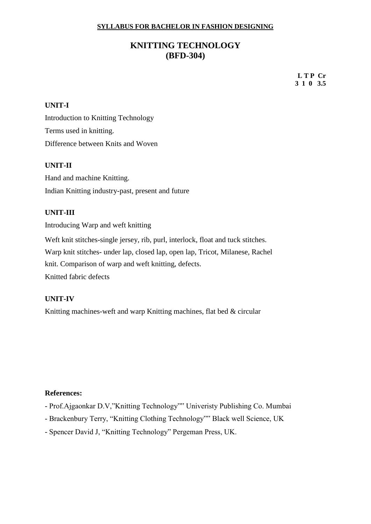# **KNITTING TECHNOLOGY (BFD-304)**

**L T P Cr 3 1 0 3.5**

#### **UNIT-I**

Introduction to Knitting Technology Terms used in knitting. Difference between Knits and Woven

#### **UNIT-II**

Hand and machine Knitting. Indian Knitting industry-past, present and future

#### **UNIT-III**

Introducing Warp and weft knitting

Weft knit stitches-single jersey, rib, purl, interlock, float and tuck stitches.

Warp knit stitches- under lap, closed lap, open lap, Tricot, Milanese, Rachel

knit. Comparison of warp and weft knitting, defects.

Knitted fabric defects

#### **UNIT-IV**

Knitting machines-weft and warp Knitting machines, flat bed & circular

- Prof.Ajgaonkar D.V,"Knitting Technology"" Univeristy Publishing Co. Mumbai
- Brackenbury Terry, "Knitting Clothing Technology"" Black well Science, UK
- Spencer David J, "Knitting Technology" Pergeman Press, UK.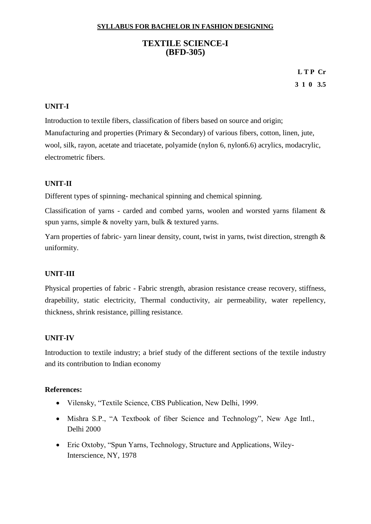# **TEXTILE SCIENCE-I (BFD-305)**

# **L T P Cr 3 1 0 3.5**

#### **UNIT-I**

Introduction to textile fibers, classification of fibers based on source and origin; Manufacturing and properties (Primary & Secondary) of various fibers, cotton, linen, jute, wool, silk, rayon, acetate and triacetate, polyamide (nylon 6, nylon6.6) acrylics, modacrylic, electrometric fibers.

#### **UNIT-II**

Different types of spinning- mechanical spinning and chemical spinning.

Classification of yarns - carded and combed yarns, woolen and worsted yarns filament & spun yarns, simple & novelty yarn, bulk & textured yarns.

Yarn properties of fabric- yarn linear density, count, twist in yarns, twist direction, strength & uniformity.

#### **UNIT-III**

Physical properties of fabric - Fabric strength, abrasion resistance crease recovery, stiffness, drapebility, static electricity, Thermal conductivity, air permeability, water repellency, thickness, shrink resistance, pilling resistance.

#### **UNIT-IV**

Introduction to textile industry; a brief study of the different sections of the textile industry and its contribution to Indian economy

- Vilensky, "Textile Science, CBS Publication, New Delhi, 1999.
- Mishra S.P., "A Textbook of fiber Science and Technology", New Age Intl., Delhi 2000
- Eric Oxtoby, "Spun Yarns, Technology, Structure and Applications, Wiley-Interscience, NY, 1978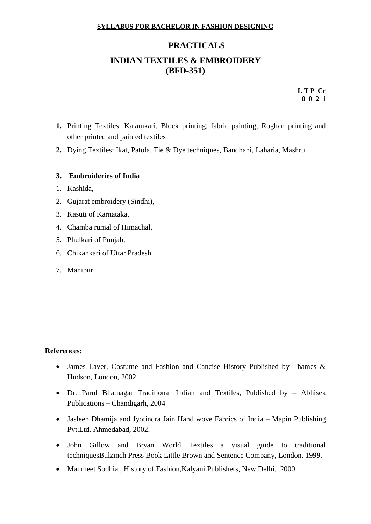# **PRACTICALS INDIAN TEXTILES & EMBROIDERY (BFD-351)**

**L T P Cr 0 0 2 1**

- **1.** Printing Textiles: Kalamkari, Block printing, fabric painting, Roghan printing and other printed and painted textiles
- **2.** Dying Textiles: Ikat, Patola, Tie & Dye techniques, Bandhani, Laharia, Mashru

#### **3. Embroideries of India**

- 1. Kashida,
- 2. Gujarat embroidery (Sindhi),
- 3. Kasuti of Karnataka,
- 4. Chamba rumal of Himachal,
- 5. Phulkari of Punjab,
- 6. Chikankari of Uttar Pradesh.
- 7. Manipuri

- James Laver, Costume and Fashion and Cancise History Published by Thames & Hudson, London, 2002.
- Dr. Parul Bhatnagar Traditional Indian and Textiles, Published by Abhisek Publications – Chandigarh, 2004
- Jasleen Dhamija and Jyotindra Jain Hand wove Fabrics of India Mapin Publishing Pvt.Ltd. Ahmedabad, 2002.
- John Gillow and Bryan World Textiles a visual guide to traditional techniquesBulzinch Press Book Little Brown and Sentence Company, London. 1999.
- Manmeet Sodhia , History of Fashion,Kalyani Publishers, New Delhi, .2000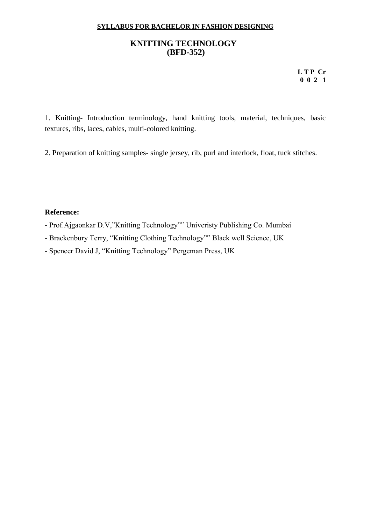### **KNITTING TECHNOLOGY (BFD-352)**

**L T P Cr 0 0 2 1**

1. Knitting- Introduction terminology, hand knitting tools, material, techniques, basic textures, ribs, laces, cables, multi-colored knitting.

2. Preparation of knitting samples- single jersey, rib, purl and interlock, float, tuck stitches.

#### **Reference:**

- Prof.Ajgaonkar D.V,"Knitting Technology"" Univeristy Publishing Co. Mumbai
- Brackenbury Terry, "Knitting Clothing Technology"" Black well Science, UK

- Spencer David J, "Knitting Technology" Pergeman Press, UK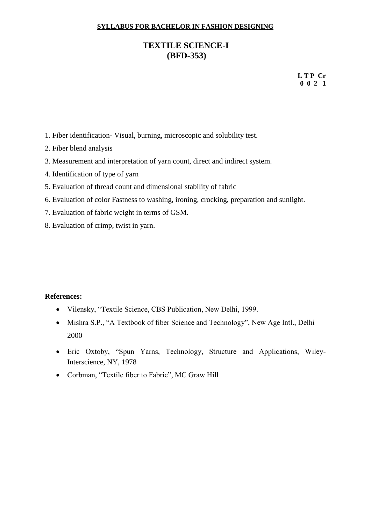# **TEXTILE SCIENCE-I (BFD-353)**

**L T P Cr 0 0 2 1**

- 1. Fiber identification- Visual, burning, microscopic and solubility test.
- 2. Fiber blend analysis
- 3. Measurement and interpretation of yarn count, direct and indirect system.
- 4. Identification of type of yarn
- 5. Evaluation of thread count and dimensional stability of fabric
- 6. Evaluation of color Fastness to washing, ironing, crocking, preparation and sunlight.
- 7. Evaluation of fabric weight in terms of GSM.
- 8. Evaluation of crimp, twist in yarn.

- Vilensky, "Textile Science, CBS Publication, New Delhi, 1999.
- Mishra S.P., "A Textbook of fiber Science and Technology", New Age Intl., Delhi 2000
- Eric Oxtoby, "Spun Yarns, Technology, Structure and Applications, Wiley-Interscience, NY, 1978
- Corbman, "Textile fiber to Fabric", MC Graw Hill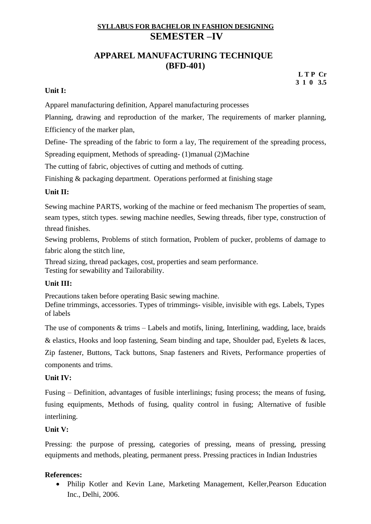# **SYLLABUS FOR BACHELOR IN FASHION DESIGNING SEMESTER –IV**

# **APPAREL MANUFACTURING TECHNIQUE (BFD-401)**

#### **L T P Cr 3 1 0 3.5**

#### **Unit I:**

Apparel manufacturing definition, Apparel manufacturing processes

Planning, drawing and reproduction of the marker, The requirements of marker planning, Efficiency of the marker plan,

Define- The spreading of the fabric to form a lay, The requirement of the spreading process,

Spreading equipment, Methods of spreading- (1)manual (2)Machine

The cutting of fabric, objectives of cutting and methods of cutting.

Finishing & packaging department. Operations performed at finishing stage

# **Unit II:**

Sewing machine PARTS, working of the machine or feed mechanism The properties of seam, seam types, stitch types. sewing machine needles, Sewing threads, fiber type, construction of thread finishes.

Sewing problems, Problems of stitch formation, Problem of pucker, problems of damage to fabric along the stitch line,

Thread sizing, thread packages, cost, properties and seam performance. Testing for sewability and Tailorability.

# **Unit III:**

Precautions taken before operating Basic sewing machine.

Define trimmings, accessories. Types of trimmings- visible, invisible with egs. Labels, Types of labels

The use of components  $&$  trims – Labels and motifs, lining, Interlining, wadding, lace, braids

& elastics, Hooks and loop fastening, Seam binding and tape, Shoulder pad, Eyelets & laces,

Zip fastener, Buttons, Tack buttons, Snap fasteners and Rivets, Performance properties of components and trims.

#### **Unit IV:**

Fusing – Definition, advantages of fusible interlinings; fusing process; the means of fusing, fusing equipments, Methods of fusing, quality control in fusing; Alternative of fusible interlining.

# **Unit V:**

Pressing: the purpose of pressing, categories of pressing, means of pressing, pressing equipments and methods, pleating, permanent press. Pressing practices in Indian Industries

# **References:**

• Philip Kotler and Kevin Lane, Marketing Management, Keller,Pearson Education Inc., Delhi, 2006.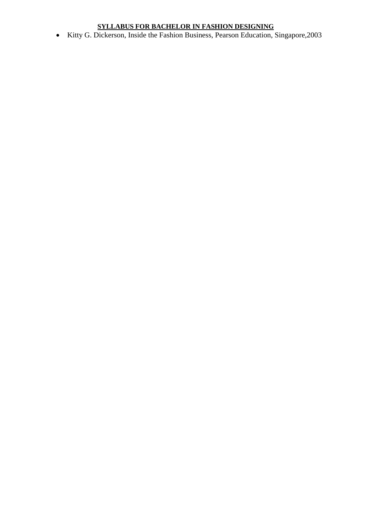• Kitty G. Dickerson, Inside the Fashion Business, Pearson Education, Singapore,2003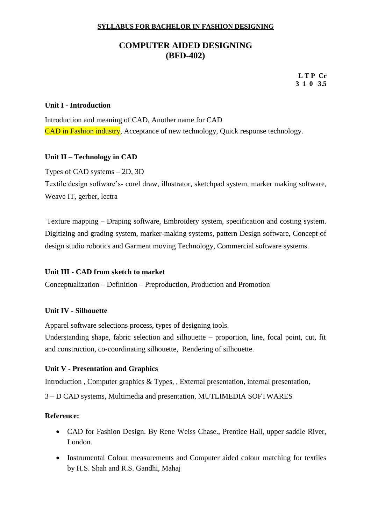# **COMPUTER AIDED DESIGNING (BFD-402)**

**L T P Cr 3 1 0 3.5**

#### **Unit I - Introduction**

Introduction and meaning of CAD, Another name for CAD CAD in Fashion industry, Acceptance of new technology, Quick response technology.

#### **Unit II – Technology in CAD**

Types of CAD systems – 2D, 3D

Textile design software's- corel draw, illustrator, sketchpad system, marker making software, Weave IT, gerber, lectra

Texture mapping – Draping software, Embroidery system, specification and costing system. Digitizing and grading system, marker-making systems, pattern Design software, Concept of design studio robotics and Garment moving Technology, Commercial software systems.

#### **Unit III - CAD from sketch to market**

Conceptualization – Definition – Preproduction, Production and Promotion

#### **Unit IV - Silhouette**

Apparel software selections process, types of designing tools.

Understanding shape, fabric selection and silhouette – proportion, line, focal point, cut, fit and construction, co-coordinating silhouette, Rendering of silhouette.

#### **Unit V - Presentation and Graphics**

Introduction , Computer graphics & Types, , External presentation, internal presentation,

3 – D CAD systems, Multimedia and presentation, MUTLIMEDIA SOFTWARES

- CAD for Fashion Design. By Rene Weiss Chase., Prentice Hall, upper saddle River, London.
- Instrumental Colour measurements and Computer aided colour matching for textiles by H.S. Shah and R.S. Gandhi, Mahaj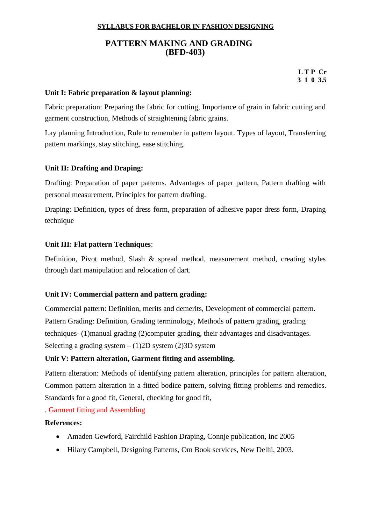# **PATTERN MAKING AND GRADING (BFD-403)**

**L T P Cr 3 1 0 3.5**

#### **Unit I: Fabric preparation & layout planning:**

Fabric preparation: Preparing the fabric for cutting, Importance of grain in fabric cutting and garment construction, Methods of straightening fabric grains.

Lay planning Introduction, Rule to remember in pattern layout. Types of layout, Transferring pattern markings, stay stitching, ease stitching.

#### **Unit II: Drafting and Draping:**

Drafting: Preparation of paper patterns. Advantages of paper pattern, Pattern drafting with personal measurement, Principles for pattern drafting.

Draping: Definition, types of dress form, preparation of adhesive paper dress form, Draping technique

#### **Unit III: Flat pattern Techniques**:

Definition, Pivot method, Slash & spread method, measurement method, creating styles through dart manipulation and relocation of dart.

#### **Unit IV: Commercial pattern and pattern grading:**

Commercial pattern: Definition, merits and demerits, Development of commercial pattern. Pattern Grading: Definition, Grading terminology, Methods of pattern grading, grading techniques- (1)manual grading (2)computer grading, their advantages and disadvantages. Selecting a grading system  $- (1)$ 2D system (2)3D system

#### **Unit V: Pattern alteration, Garment fitting and assembling.**

Pattern alteration: Methods of identifying pattern alteration, principles for pattern alteration, Common pattern alteration in a fitted bodice pattern, solving fitting problems and remedies. Standards for a good fit, General, checking for good fit,

. Garment fitting and Assembling

- Amaden Gewford, Fairchild Fashion Draping, Connie publication, Inc 2005
- Hilary Campbell, Designing Patterns, Om Book services, New Delhi, 2003.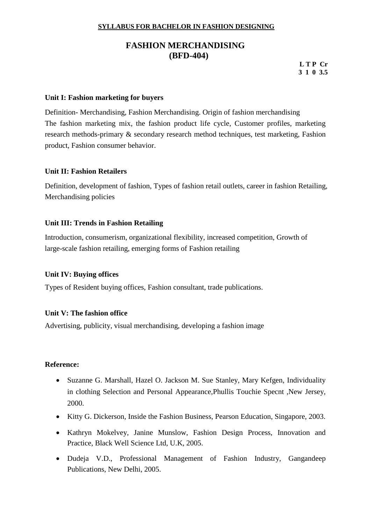# **FASHION MERCHANDISING (BFD-404)**

**L T P Cr 3 1 0 3.5**

#### **Unit I: Fashion marketing for buyers**

Definition- Merchandising, Fashion Merchandising. Origin of fashion merchandising The fashion marketing mix, the fashion product life cycle, Customer profiles, marketing research methods-primary & secondary research method techniques, test marketing, Fashion product, Fashion consumer behavior.

#### **Unit II: Fashion Retailers**

Definition, development of fashion, Types of fashion retail outlets, career in fashion Retailing, Merchandising policies

#### **Unit III: Trends in Fashion Retailing**

Introduction, consumerism, organizational flexibility, increased competition, Growth of large-scale fashion retailing, emerging forms of Fashion retailing

#### **Unit IV: Buying offices**

Types of Resident buying offices, Fashion consultant, trade publications.

#### **Unit V: The fashion office**

Advertising, publicity, visual merchandising, developing a fashion image

- Suzanne G. Marshall, Hazel O. Jackson M. Sue Stanley, Mary Kefgen, Individuality in clothing Selection and Personal Appearance,Phullis Touchie Specnt ,New Jersey, 2000.
- Kitty G. Dickerson, Inside the Fashion Business, Pearson Education, Singapore, 2003.
- Kathryn Mokelvey, Janine Munslow, Fashion Design Process, Innovation and Practice, Black Well Science Ltd, U.K, 2005.
- Dudeja V.D., Professional Management of Fashion Industry, Gangandeep Publications, New Delhi, 2005.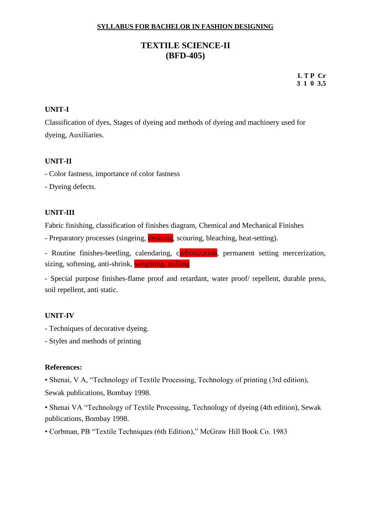# **TEXTILE SCIENCE-II (BFD-405)**

**L T P Cr 3 1 0 3.5**

#### **UNIT-I**

Classification of dyes, Stages of dyeing and methods of dyeing and machinery used for dyeing, Auxiliaries.

#### **UNIT-II**

- Color fastness, importance of color fastness

- Dyeing defects.

#### **UNIT-III**

Fabric finishing, classification of finishes diagram, Chemical and Mechanical Finishes

- Preparatory processes (singeing, desizing, scouring, bleaching, heat-setting).

- Routine finishes-beetling, calendaring, carbonization, permanent setting mercerization, sizing, softening, anti-shrink, weighting, milling

- Special purpose finishes-flame proof and retardant, water proof/ repellent, durable press, soil repellent, anti static.

#### **UNIT-IV**

- Techniques of decorative dyeing.
- Styles and methods of printing

#### **References:**

• Shenai, V A, "Technology of Textile Processing, Technology of printing (3rd edition), Sewak publications, Bombay 1998.

• Shenai VA "Technology of Textile Processing, Technology of dyeing (4th edition), Sewak publications, Bombay 1998.

• Corbman, PB "Textile Techniques (6th Edition)," McGraw Hill Book Co. 1983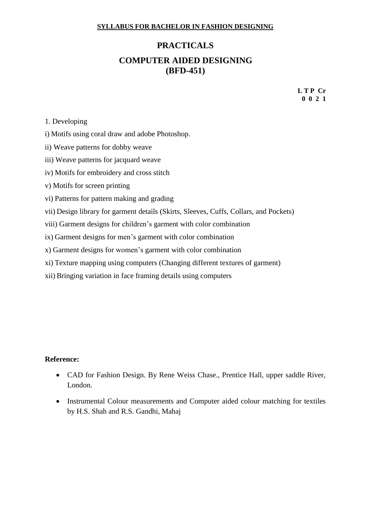# **PRACTICALS COMPUTER AIDED DESIGNING (BFD-451)**

**L T P Cr 0 0 2 1**

#### 1. Developing

- i) Motifs using coral draw and adobe Photoshop.
- ii) Weave patterns for dobby weave
- iii) Weave patterns for jacquard weave
- iv) Motifs for embroidery and cross stitch
- v) Motifs for screen printing
- vi) Patterns for pattern making and grading
- vii) Design library for garment details (Skirts, Sleeves, Cuffs, Collars, and Pockets)
- viii) Garment designs for children's garment with color combination
- ix) Garment designs for men's garment with color combination
- x) Garment designs for women's garment with color combination
- xi) Texture mapping using computers (Changing different textures of garment)
- xii) Bringing variation in face framing details using computers

- CAD for Fashion Design. By Rene Weiss Chase., Prentice Hall, upper saddle River, London.
- Instrumental Colour measurements and Computer aided colour matching for textiles by H.S. Shah and R.S. Gandhi, Mahaj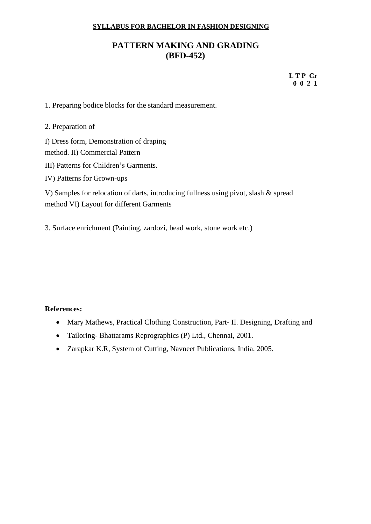# **PATTERN MAKING AND GRADING (BFD-452)**

**L T P Cr 0 0 2 1**

1. Preparing bodice blocks for the standard measurement.

2. Preparation of

I) Dress form, Demonstration of draping

method. II) Commercial Pattern

- III) Patterns for Children's Garments.
- IV) Patterns for Grown-ups

V) Samples for relocation of darts, introducing fullness using pivot, slash & spread method VI) Layout for different Garments

3. Surface enrichment (Painting, zardozi, bead work, stone work etc.)

- Mary Mathews, Practical Clothing Construction, Part- II. Designing, Drafting and
- Tailoring- Bhattarams Reprographics (P) Ltd., Chennai, 2001.
- Zarapkar K.R, System of Cutting, Navneet Publications, India, 2005.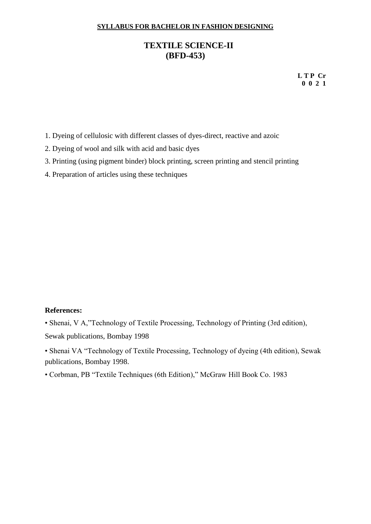# **TEXTILE SCIENCE-II (BFD-453)**

**L T P Cr 0 0 2 1**

1. Dyeing of cellulosic with different classes of dyes-direct, reactive and azoic

- 2. Dyeing of wool and silk with acid and basic dyes
- 3. Printing (using pigment binder) block printing, screen printing and stencil printing
- 4. Preparation of articles using these techniques

#### **References:**

• Shenai, V A,"Technology of Textile Processing, Technology of Printing (3rd edition), Sewak publications, Bombay 1998

• Shenai VA "Technology of Textile Processing, Technology of dyeing (4th edition), Sewak publications, Bombay 1998.

• Corbman, PB "Textile Techniques (6th Edition)," McGraw Hill Book Co. 1983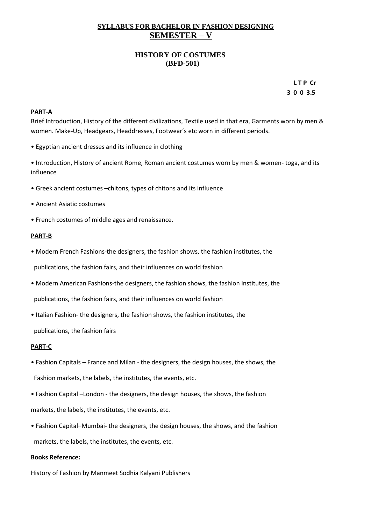#### **SYLLABUS FOR BACHELOR IN FASHION DESIGNING SEMESTER – V**

#### **HISTORY OF COSTUMES (BFD-501)**

 **L T P Cr 3 0 0 3.5**

#### **PART-A**

Brief Introduction, History of the different civilizations, Textile used in that era, Garments worn by men & women. Make-Up, Headgears, Headdresses, Footwear's etc worn in different periods.

- Egyptian ancient dresses and its influence in clothing
- Introduction, History of ancient Rome, Roman ancient costumes worn by men & women- toga, and its influence
- Greek ancient costumes –chitons, types of chitons and its influence
- Ancient Asiatic costumes
- French costumes of middle ages and renaissance.

#### **PART-B**

• Modern French Fashions-the designers, the fashion shows, the fashion institutes, the

publications, the fashion fairs, and their influences on world fashion

• Modern American Fashions-the designers, the fashion shows, the fashion institutes, the

publications, the fashion fairs, and their influences on world fashion

• Italian Fashion- the designers, the fashion shows, the fashion institutes, the

publications, the fashion fairs

#### **PART-C**

- Fashion Capitals France and Milan the designers, the design houses, the shows, the Fashion markets, the labels, the institutes, the events, etc.
- Fashion Capital –London the designers, the design houses, the shows, the fashion markets, the labels, the institutes, the events, etc.
- Fashion Capital–Mumbai- the designers, the design houses, the shows, and the fashion markets, the labels, the institutes, the events, etc.

#### **Books Reference:**

History of Fashion by Manmeet Sodhia Kalyani Publishers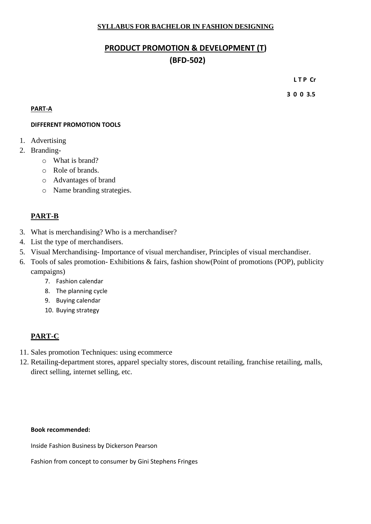# **PRODUCT PROMOTION & DEVELOPMENT (T) (BFD-502)**

**L T P Cr**

 **3 0 0 3.5**

#### **PART-A**

#### **DIFFERENT PROMOTION TOOLS**

- 1. Advertising
- 2. Branding
	- o What is brand?
	- o Role of brands.
	- o Advantages of brand
	- o Name branding strategies.

#### **PART-B**

- 3. What is merchandising? Who is a merchandiser?
- 4. List the type of merchandisers.
- 5. Visual Merchandising- Importance of visual merchandiser, Principles of visual merchandiser.
- 6. Tools of sales promotion- Exhibitions & fairs, fashion show(Point of promotions (POP), publicity campaigns)
	- 7. Fashion calendar
	- 8. The planning cycle
	- 9. Buying calendar
	- 10. Buying strategy

# **PART-C**

- 11. Sales promotion Techniques: using ecommerce
- 12. Retailing-department stores, apparel specialty stores, discount retailing, franchise retailing, malls, direct selling, internet selling, etc.

#### **Book recommended:**

Inside Fashion Business by Dickerson Pearson

Fashion from concept to consumer by Gini Stephens Fringes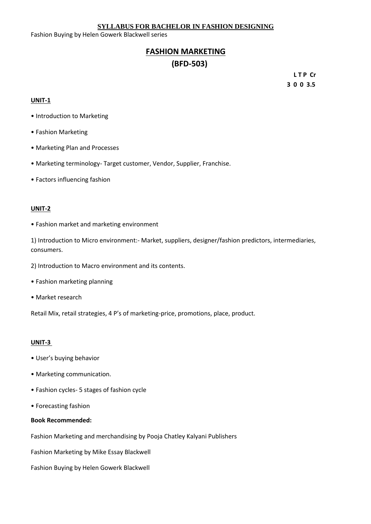Fashion Buying by Helen Gowerk Blackwell series

# **FASHION MARKETING (BFD-503)**

**L T P Cr 3 0 0 3.5**

#### **UNIT-1**

- Introduction to Marketing
- Fashion Marketing
- Marketing Plan and Processes
- Marketing terminology- Target customer, Vendor, Supplier, Franchise.
- Factors influencing fashion

#### **UNIT-2**

• Fashion market and marketing environment

1) Introduction to Micro environment:- Market, suppliers, designer/fashion predictors, intermediaries, consumers.

- 2) Introduction to Macro environment and its contents.
- Fashion marketing planning
- Market research

Retail Mix, retail strategies, 4 P's of marketing-price, promotions, place, product.

#### **UNIT-3**

- User's buying behavior
- Marketing communication.
- Fashion cycles- 5 stages of fashion cycle
- Forecasting fashion

#### **Book Recommended:**

Fashion Marketing and merchandising by Pooja Chatley Kalyani Publishers

Fashion Marketing by Mike Essay Blackwell

Fashion Buying by Helen Gowerk Blackwell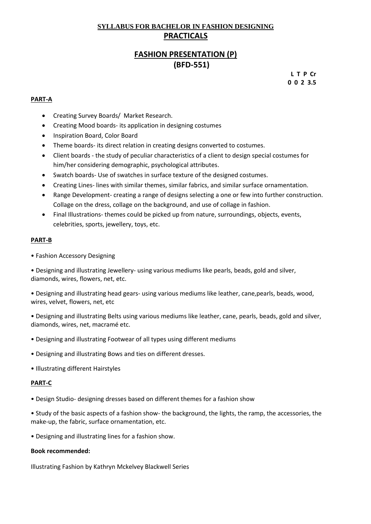# **SYLLABUS FOR BACHELOR IN FASHION DESIGNING PRACTICALS**

# **FASHION PRESENTATION (P) (BFD-551)**

 **L T P Cr 0 0 2 3.5**

#### **PART-A**

- Creating Survey Boards/ Market Research.
- Creating Mood boards- its application in designing costumes
- Inspiration Board, Color Board
- Theme boards- its direct relation in creating designs converted to costumes.
- Client boards the study of peculiar characteristics of a client to design special costumes for him/her considering demographic, psychological attributes.
- Swatch boards- Use of swatches in surface texture of the designed costumes.
- Creating Lines- lines with similar themes, similar fabrics, and similar surface ornamentation.
- Range Development- creating a range of designs selecting a one or few into further construction. Collage on the dress, collage on the background, and use of collage in fashion.
- Final Illustrations- themes could be picked up from nature, surroundings, objects, events, celebrities, sports, jewellery, toys, etc.

#### **PART-B**

• Fashion Accessory Designing

• Designing and illustrating Jewellery- using various mediums like pearls, beads, gold and silver, diamonds, wires, flowers, net, etc.

• Designing and illustrating head gears- using various mediums like leather, cane,pearls, beads, wood, wires, velvet, flowers, net, etc

• Designing and illustrating Belts using various mediums like leather, cane, pearls, beads, gold and silver, diamonds, wires, net, macramé etc.

- Designing and illustrating Footwear of all types using different mediums
- Designing and illustrating Bows and ties on different dresses.
- Illustrating different Hairstyles

#### **PART-C**

- Design Studio- designing dresses based on different themes for a fashion show
- Study of the basic aspects of a fashion show- the background, the lights, the ramp, the accessories, the make-up, the fabric, surface ornamentation, etc.
- Designing and illustrating lines for a fashion show.

#### **Book recommended:**

Illustrating Fashion by Kathryn Mckelvey Blackwell Series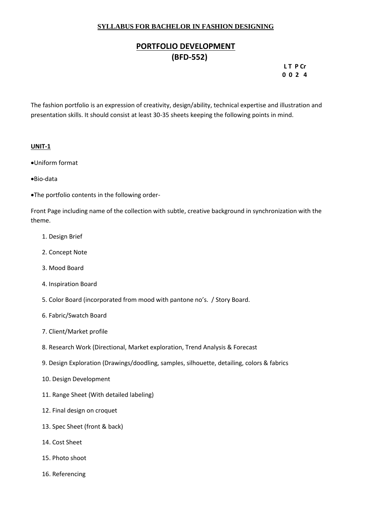# **PORTFOLIO DEVELOPMENT (BFD-552)**

#### **LT P Cr 0 0 2 4**

The fashion portfolio is an expression of creativity, design/ability, technical expertise and illustration and presentation skills. It should consist at least 30-35 sheets keeping the following points in mind.

#### **UNIT-1**

- •Uniform format
- •Bio-data
- •The portfolio contents in the following order-

Front Page including name of the collection with subtle, creative background in synchronization with the theme.

- 1. Design Brief
- 2. Concept Note
- 3. Mood Board
- 4. Inspiration Board
- 5. Color Board (incorporated from mood with pantone no's. / Story Board.
- 6. Fabric/Swatch Board
- 7. Client/Market profile
- 8. Research Work (Directional, Market exploration, Trend Analysis & Forecast
- 9. Design Exploration (Drawings/doodling, samples, silhouette, detailing, colors & fabrics
- 10. Design Development
- 11. Range Sheet (With detailed labeling)
- 12. Final design on croquet
- 13. Spec Sheet (front & back)
- 14. Cost Sheet
- 15. Photo shoot
- 16. Referencing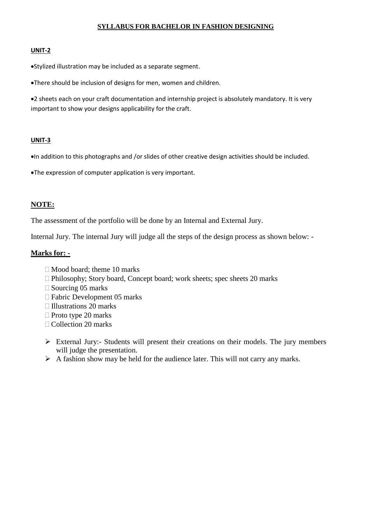#### **UNIT-2**

•Stylized illustration may be included as a separate segment.

•There should be inclusion of designs for men, women and children.

•2 sheets each on your craft documentation and internship project is absolutely mandatory. It is very important to show your designs applicability for the craft.

#### **UNIT-3**

•In addition to this photographs and /or slides of other creative design activities should be included.

•The expression of computer application is very important.

#### **NOTE:**

The assessment of the portfolio will be done by an Internal and External Jury.

Internal Jury. The internal Jury will judge all the steps of the design process as shown below: -

#### **Marks for: -**

- $\Box$  Mood board: theme 10 marks
- Philosophy; Story board, Concept board; work sheets; spec sheets 20 marks
- $\Box$  Sourcing 05 marks
- □ Fabric Development 05 marks
- $\Box$  Illustrations 20 marks
- $\Box$  Proto type 20 marks
- □ Collection 20 marks
- ➢ External Jury:- Students will present their creations on their models. The jury members will judge the presentation.
- $\triangleright$  A fashion show may be held for the audience later. This will not carry any marks.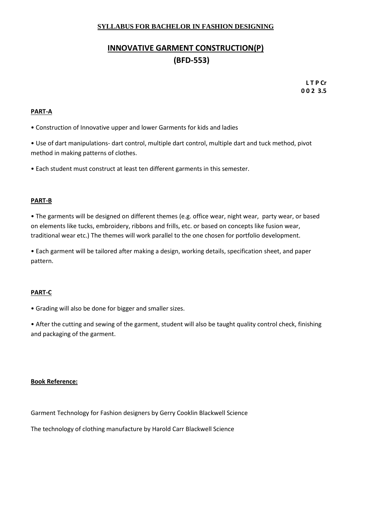# **INNOVATIVE GARMENT CONSTRUCTION(P) (BFD-553)**

 **L T P Cr 0 0 2 3.5**

#### **PART-A**

• Construction of Innovative upper and lower Garments for kids and ladies

• Use of dart manipulations- dart control, multiple dart control, multiple dart and tuck method, pivot method in making patterns of clothes.

• Each student must construct at least ten different garments in this semester.

#### **PART-B**

• The garments will be designed on different themes (e.g. office wear, night wear, party wear, or based on elements like tucks, embroidery, ribbons and frills, etc. or based on concepts like fusion wear, traditional wear etc.) The themes will work parallel to the one chosen for portfolio development.

• Each garment will be tailored after making a design, working details, specification sheet, and paper pattern.

#### **PART-C**

• Grading will also be done for bigger and smaller sizes.

• After the cutting and sewing of the garment, student will also be taught quality control check, finishing and packaging of the garment.

#### **Book Reference:**

Garment Technology for Fashion designers by Gerry Cooklin Blackwell Science

The technology of clothing manufacture by Harold Carr Blackwell Science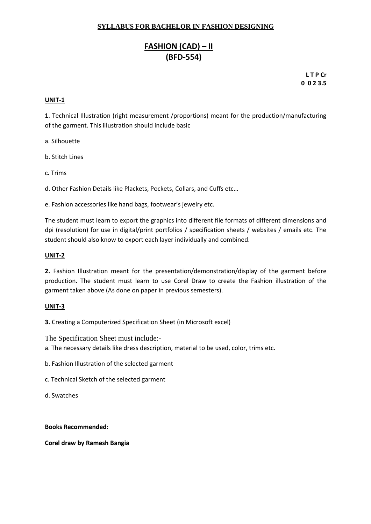# **FASHION (CAD) – II (BFD-554)**

**L T P Cr 0 0 2 3.5**

#### **UNIT-1**

**1**. Technical Illustration (right measurement /proportions) meant for the production/manufacturing of the garment. This illustration should include basic

a. Silhouette

- b. Stitch Lines
- c. Trims

d. Other Fashion Details like Plackets, Pockets, Collars, and Cuffs etc…

e. Fashion accessories like hand bags, footwear's jewelry etc.

The student must learn to export the graphics into different file formats of different dimensions and dpi (resolution) for use in digital/print portfolios / specification sheets / websites / emails etc. The student should also know to export each layer individually and combined.

#### **UNIT-2**

**2.** Fashion Illustration meant for the presentation/demonstration/display of the garment before production. The student must learn to use Corel Draw to create the Fashion illustration of the garment taken above (As done on paper in previous semesters).

#### **UNIT-3**

**3.** Creating a Computerized Specification Sheet (in Microsoft excel)

The Specification Sheet must include:-

a. The necessary details like dress description, material to be used, color, trims etc.

- b. Fashion Illustration of the selected garment
- c. Technical Sketch of the selected garment
- d. Swatches

#### **Books Recommended:**

**Corel draw by Ramesh Bangia**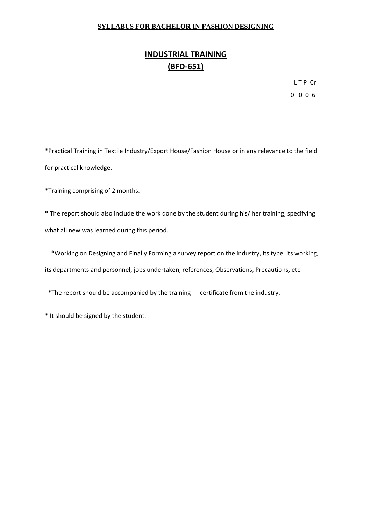# **INDUSTRIAL TRAINING (BFD-651)**

L T P Cr 0 0 0 6

\*Practical Training in Textile Industry/Export House/Fashion House or in any relevance to the field for practical knowledge.

\*Training comprising of 2 months.

\* The report should also include the work done by the student during his/ her training, specifying what all new was learned during this period.

 \*Working on Designing and Finally Forming a survey report on the industry, its type, its working, its departments and personnel, jobs undertaken, references, Observations, Precautions, etc.

\*The report should be accompanied by the training certificate from the industry.

\* It should be signed by the student.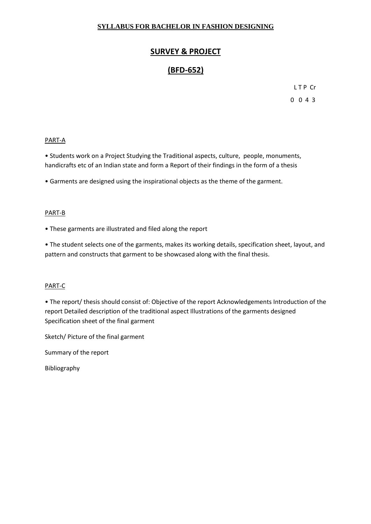# **SURVEY & PROJECT**

# **(BFD-652)**

L T P Cr 0 0 4 3

#### PART-A

• Students work on a Project Studying the Traditional aspects, culture, people, monuments, handicrafts etc of an Indian state and form a Report of their findings in the form of a thesis

• Garments are designed using the inspirational objects as the theme of the garment.

#### PART-B

• These garments are illustrated and filed along the report

• The student selects one of the garments, makes its working details, specification sheet, layout, and pattern and constructs that garment to be showcased along with the final thesis.

#### PART-C

• The report/ thesis should consist of: Objective of the report Acknowledgements Introduction of the report Detailed description of the traditional aspect Illustrations of the garments designed Specification sheet of the final garment

Sketch/ Picture of the final garment

Summary of the report

Bibliography